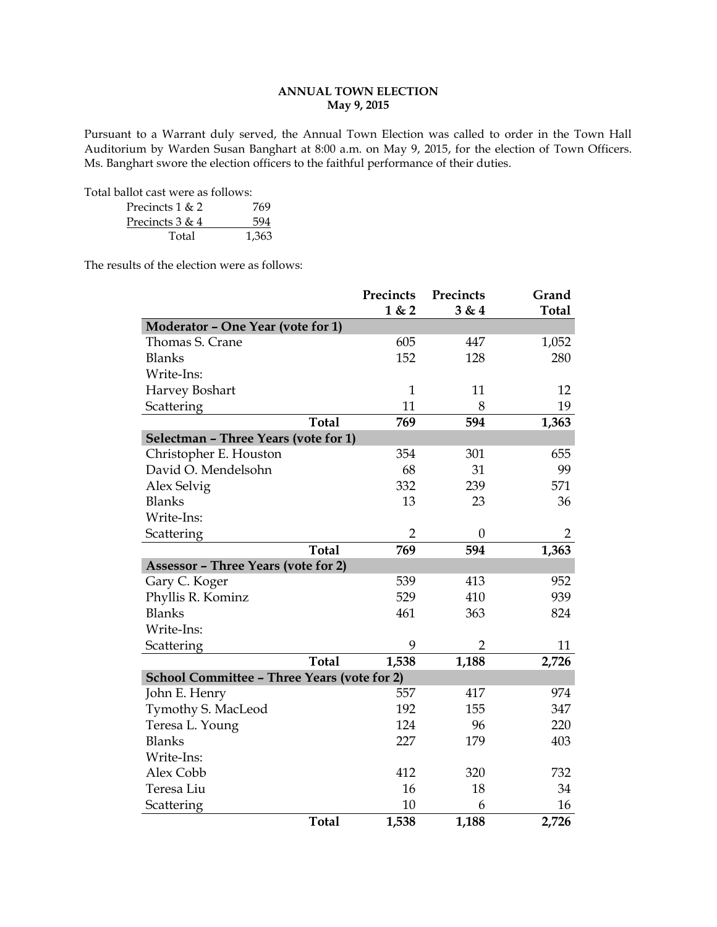# **ANNUAL TOWN ELECTION May 9, 2015**

Pursuant to a Warrant duly served, the Annual Town Election was called to order in the Town Hall Auditorium by Warden Susan Banghart at 8:00 a.m. on May 9, 2015, for the election of Town Officers. Ms. Banghart swore the election officers to the faithful performance of their duties.

Total ballot cast were as follows:

| Precincts 1 & 2   | 769   |
|-------------------|-------|
| Precincts $3 & 4$ | 594   |
| Total             | 1.363 |

The results of the election were as follows:

|                                             | Precincts      | Precincts        | Grand          |
|---------------------------------------------|----------------|------------------|----------------|
|                                             | 1 & 2          | 3 & 4            | <b>Total</b>   |
| Moderator - One Year (vote for 1)           |                |                  |                |
| Thomas S. Crane                             | 605            | 447              | 1,052          |
| <b>Blanks</b>                               | 152            | 128              | 280            |
| Write-Ins:                                  |                |                  |                |
| Harvey Boshart                              | $\mathbf{1}$   | 11               | 12             |
| Scattering                                  | 11             | 8                | 19             |
| <b>Total</b>                                | 769            | 594              | 1,363          |
| Selectman - Three Years (vote for 1)        |                |                  |                |
| Christopher E. Houston                      | 354            | 301              | 655            |
| David O. Mendelsohn                         | 68             | 31               | 99             |
| Alex Selvig                                 | 332            | 239              | 571            |
| <b>Blanks</b>                               | 13             | 23               | 36             |
| Write-Ins:                                  |                |                  |                |
| Scattering                                  | $\overline{2}$ | $\boldsymbol{0}$ | $\overline{2}$ |
| <b>Total</b>                                | 769            | 594              | 1,363          |
| <b>Assessor - Three Years (vote for 2)</b>  |                |                  |                |
| Gary C. Koger                               | 539            | 413              | 952            |
| Phyllis R. Kominz                           | 529            | 410              | 939            |
| <b>Blanks</b>                               | 461            | 363              | 824            |
| Write-Ins:                                  |                |                  |                |
| Scattering                                  | 9              | $\overline{2}$   | 11             |
| <b>Total</b>                                | 1,538          | 1,188            | 2,726          |
| School Committee - Three Years (vote for 2) |                |                  |                |
| John E. Henry                               | 557            | 417              | 974            |
| Tymothy S. MacLeod                          | 192            | 155              | 347            |
| Teresa L. Young                             | 124            | 96               | 220            |
| <b>Blanks</b>                               | 227            | 179              | 403            |
| Write-Ins:                                  |                |                  |                |
| Alex Cobb                                   | 412            | 320              | 732            |
| Teresa Liu                                  | 16             | 18               | 34             |
| Scattering                                  | 10             | 6                | 16             |
| <b>Total</b>                                | 1,538          | 1,188            | 2,726          |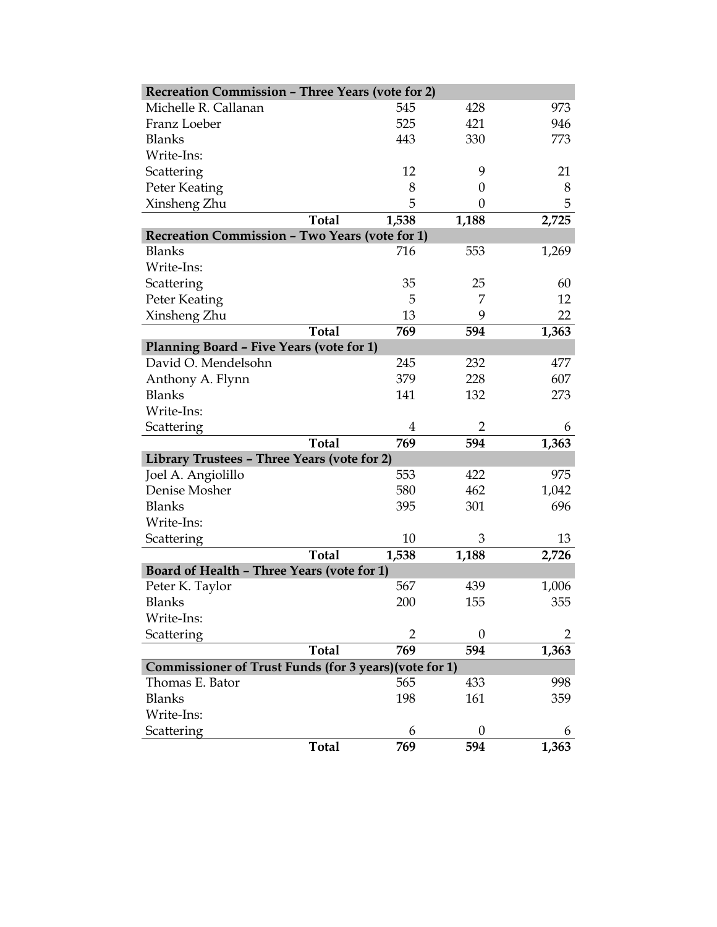| <b>Recreation Commission - Three Years (vote for 2)</b> |              |                |                  |       |
|---------------------------------------------------------|--------------|----------------|------------------|-------|
| Michelle R. Callanan                                    |              | 545            | 428              | 973   |
| Franz Loeber                                            |              | 525            | 421              | 946   |
| <b>Blanks</b>                                           |              | 443            | 330              | 773   |
| Write-Ins:                                              |              |                |                  |       |
| Scattering                                              |              | 12             | 9                | 21    |
| Peter Keating                                           |              | 8              | $\boldsymbol{0}$ | 8     |
| Xinsheng Zhu                                            |              | 5              | 0                | 5     |
|                                                         | <b>Total</b> | 1,538          | 1,188            | 2,725 |
| Recreation Commission - Two Years (vote for 1)          |              |                |                  |       |
| <b>Blanks</b>                                           |              | 716            | 553              | 1,269 |
| Write-Ins:                                              |              |                |                  |       |
| Scattering                                              |              | 35             | 25               | 60    |
| Peter Keating                                           |              | 5              | 7                | 12    |
| Xinsheng Zhu                                            |              | 13             | 9                | 22    |
|                                                         | <b>Total</b> | 769            | 594              | 1,363 |
| Planning Board - Five Years (vote for 1)                |              |                |                  |       |
| David O. Mendelsohn                                     |              | 245            | 232              | 477   |
| Anthony A. Flynn                                        |              | 379            | 228              | 607   |
| <b>Blanks</b>                                           |              | 141            | 132              | 273   |
| Write-Ins:                                              |              |                |                  |       |
| Scattering                                              |              | 4              | 2                | 6     |
|                                                         | <b>Total</b> | 769            | 594              | 1,363 |
| Library Trustees - Three Years (vote for 2)             |              |                |                  |       |
| Joel A. Angiolillo                                      |              | 553            | 422              | 975   |
| Denise Mosher                                           |              | 580            | 462              | 1,042 |
| <b>Blanks</b>                                           |              | 395            | 301              | 696   |
| Write-Ins:                                              |              |                |                  |       |
| Scattering                                              |              | 10             | 3                | 13    |
|                                                         | <b>Total</b> | 1,538          | 1,188            | 2,726 |
| Board of Health - Three Years (vote for 1)              |              |                |                  |       |
| Peter K. Taylor                                         |              | 567            | 439              | 1,006 |
| <b>Blanks</b>                                           |              | 200            | 155              | 355   |
| Write-Ins:                                              |              |                |                  |       |
| Scattering                                              |              | $\overline{2}$ | 0                |       |
|                                                         | <b>Total</b> | 769            | 594              | 1,363 |
| Commissioner of Trust Funds (for 3 years) (vote for 1)  |              |                |                  |       |
| Thomas E. Bator                                         |              | 565            | 433              | 998   |
| <b>Blanks</b>                                           |              | 198            | 161              | 359   |
| Write-Ins:                                              |              |                |                  |       |
| Scattering                                              |              | 6              | 0                | 6     |
|                                                         | <b>Total</b> | 769            | 594              | 1,363 |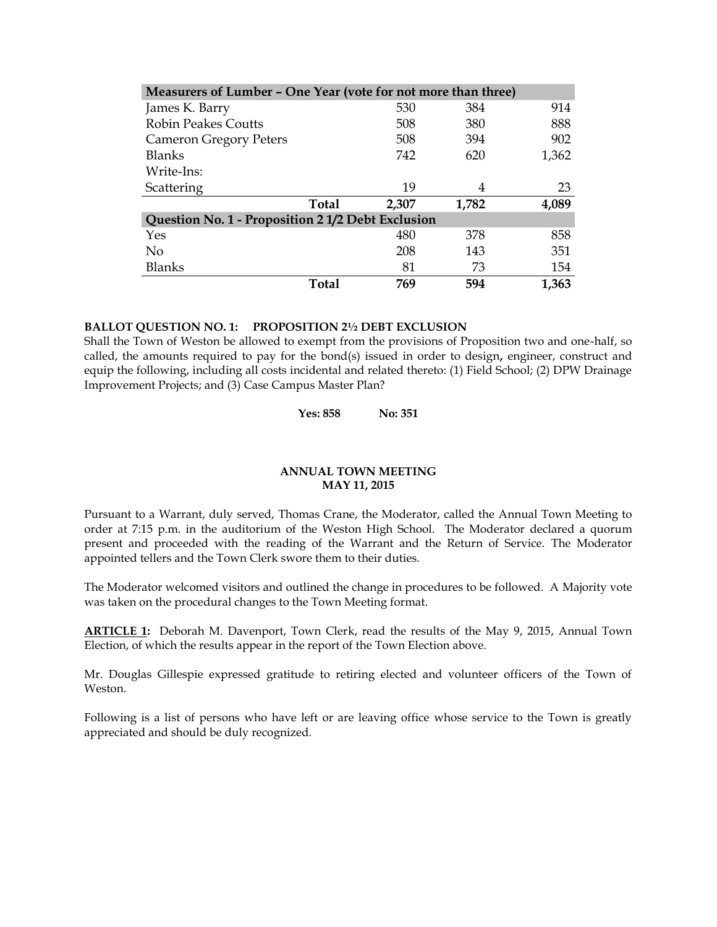| Measurers of Lumber - One Year (vote for not more than three) |       |       |       |       |  |  |
|---------------------------------------------------------------|-------|-------|-------|-------|--|--|
| James K. Barry                                                |       | 530   | 384   | 914   |  |  |
| <b>Robin Peakes Coutts</b>                                    |       | 508   | 380   | 888   |  |  |
| <b>Cameron Gregory Peters</b>                                 |       | 508   | 394   | 902   |  |  |
| Blanks                                                        |       | 742   | 620   | 1,362 |  |  |
| Write-Ins:                                                    |       |       |       |       |  |  |
| Scattering                                                    |       | 19    | 4     | 23    |  |  |
|                                                               | Total | 2,307 | 1,782 | 4,089 |  |  |
| Question No. 1 - Proposition 2 1/2 Debt Exclusion             |       |       |       |       |  |  |
| Yes                                                           |       | 480   | 378   | 858   |  |  |
| N <sub>0</sub>                                                |       | 208   | 143   | 351   |  |  |
| <b>Blanks</b>                                                 |       | 81    | 73    | 154   |  |  |
|                                                               | Total | 769   | 594   | 1,363 |  |  |

### **BALLOT QUESTION NO. 1: PROPOSITION 2½ DEBT EXCLUSION**

Shall the Town of Weston be allowed to exempt from the provisions of Proposition two and one-half, so called, the amounts required to pay for the bond(s) issued in order to design**,** engineer, construct and equip the following, including all costs incidental and related thereto: (1) Field School; (2) DPW Drainage Improvement Projects; and (3) Case Campus Master Plan?

**Yes: 858 No: 351**

## **ANNUAL TOWN MEETING MAY 11, 2015**

Pursuant to a Warrant, duly served, Thomas Crane, the Moderator, called the Annual Town Meeting to order at 7:15 p.m. in the auditorium of the Weston High School. The Moderator declared a quorum present and proceeded with the reading of the Warrant and the Return of Service. The Moderator appointed tellers and the Town Clerk swore them to their duties.

The Moderator welcomed visitors and outlined the change in procedures to be followed. A Majority vote was taken on the procedural changes to the Town Meeting format.

**ARTICLE 1:** Deborah M. Davenport, Town Clerk, read the results of the May 9, 2015, Annual Town Election, of which the results appear in the report of the Town Election above.

Mr. Douglas Gillespie expressed gratitude to retiring elected and volunteer officers of the Town of Weston.

Following is a list of persons who have left or are leaving office whose service to the Town is greatly appreciated and should be duly recognized.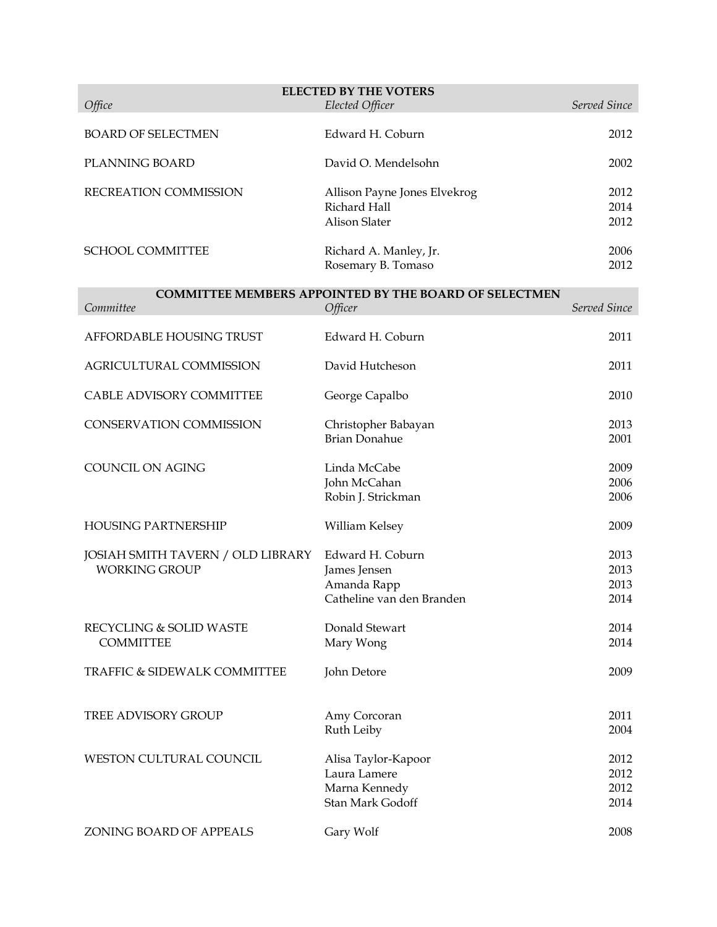| <b>ELECTED BY THE VOTERS</b><br>Elected Officer<br>Served Since<br>Office |                                                              |              |  |  |  |
|---------------------------------------------------------------------------|--------------------------------------------------------------|--------------|--|--|--|
|                                                                           |                                                              |              |  |  |  |
| <b>BOARD OF SELECTMEN</b>                                                 | Edward H. Coburn                                             | 2012         |  |  |  |
| PLANNING BOARD                                                            | David O. Mendelsohn                                          | 2002         |  |  |  |
| RECREATION COMMISSION                                                     | Allison Payne Jones Elvekrog                                 | 2012         |  |  |  |
|                                                                           | Richard Hall<br><b>Alison Slater</b>                         | 2014<br>2012 |  |  |  |
| <b>SCHOOL COMMITTEE</b>                                                   |                                                              | 2006         |  |  |  |
|                                                                           | Richard A. Manley, Jr.<br>Rosemary B. Tomaso                 | 2012         |  |  |  |
|                                                                           | <b>COMMITTEE MEMBERS APPOINTED BY THE BOARD OF SELECTMEN</b> |              |  |  |  |
| Committee                                                                 | Officer                                                      | Served Since |  |  |  |
| AFFORDABLE HOUSING TRUST                                                  | Edward H. Coburn                                             | 2011         |  |  |  |
| AGRICULTURAL COMMISSION                                                   | David Hutcheson                                              | 2011         |  |  |  |
| CABLE ADVISORY COMMITTEE                                                  | George Capalbo                                               | 2010         |  |  |  |
| <b>CONSERVATION COMMISSION</b>                                            | Christopher Babayan                                          | 2013         |  |  |  |
|                                                                           | <b>Brian Donahue</b>                                         | 2001         |  |  |  |
| COUNCIL ON AGING                                                          | Linda McCabe                                                 | 2009         |  |  |  |
|                                                                           | John McCahan<br>Robin J. Strickman                           | 2006<br>2006 |  |  |  |
| <b>HOUSING PARTNERSHIP</b>                                                |                                                              |              |  |  |  |
|                                                                           | William Kelsey                                               | 2009         |  |  |  |
| JOSIAH SMITH TAVERN / OLD LIBRARY                                         | Edward H. Coburn                                             | 2013         |  |  |  |
| <b>WORKING GROUP</b>                                                      | James Jensen<br>Amanda Rapp                                  | 2013<br>2013 |  |  |  |
|                                                                           | Catheline van den Branden                                    | 2014         |  |  |  |
| RECYCLING & SOLID WASTE                                                   | Donald Stewart                                               | 2014         |  |  |  |
| <b>COMMITTEE</b>                                                          | Mary Wong                                                    | 2014         |  |  |  |
| TRAFFIC & SIDEWALK COMMITTEE                                              | John Detore                                                  | 2009         |  |  |  |
|                                                                           |                                                              |              |  |  |  |
| <b>TREE ADVISORY GROUP</b>                                                | Amy Corcoran<br>Ruth Leiby                                   | 2011<br>2004 |  |  |  |
|                                                                           |                                                              |              |  |  |  |
| WESTON CULTURAL COUNCIL                                                   | Alisa Taylor-Kapoor                                          | 2012         |  |  |  |
|                                                                           | Laura Lamere<br>Marna Kennedy                                | 2012<br>2012 |  |  |  |
|                                                                           | Stan Mark Godoff                                             | 2014         |  |  |  |
| ZONING BOARD OF APPEALS                                                   | Gary Wolf                                                    | 2008         |  |  |  |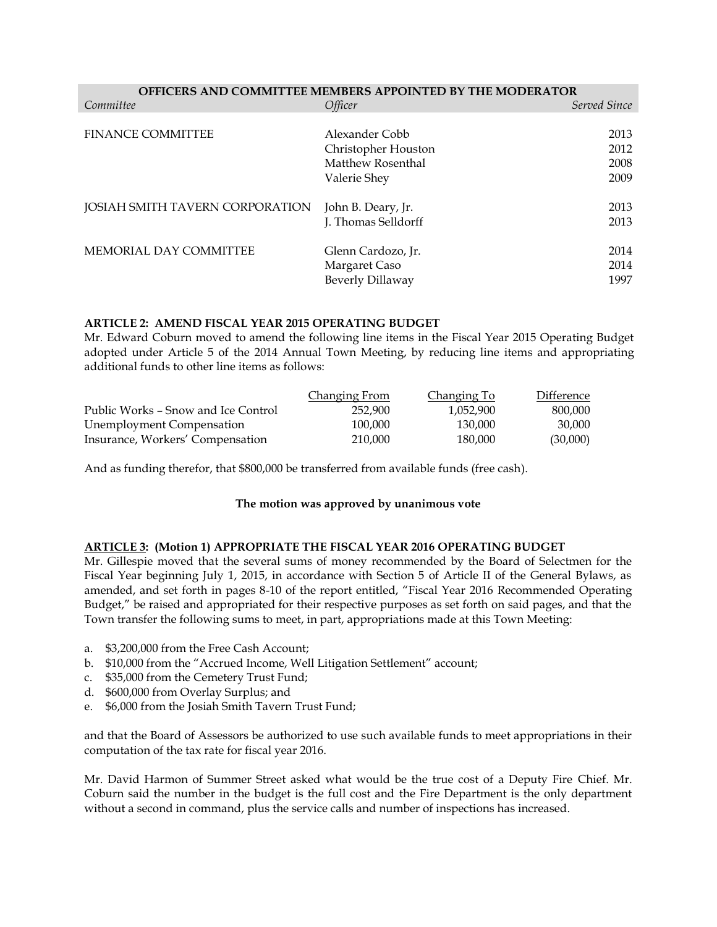| <b>OFFICERS AND COMMITTEE MEMBERS APPOINTED BY THE MODERATOR</b> |                     |              |  |  |  |
|------------------------------------------------------------------|---------------------|--------------|--|--|--|
| Committee                                                        | Officer             | Served Since |  |  |  |
|                                                                  |                     |              |  |  |  |
| <b>FINANCE COMMITTEE</b>                                         | Alexander Cobb      | 2013         |  |  |  |
|                                                                  | Christopher Houston | 2012         |  |  |  |
|                                                                  | Matthew Rosenthal   | 2008         |  |  |  |
|                                                                  | Valerie Shey        | 2009         |  |  |  |
|                                                                  |                     |              |  |  |  |
| JOSIAH SMITH TAVERN CORPORATION                                  | John B. Deary, Jr.  | 2013         |  |  |  |
|                                                                  | J. Thomas Selldorff | 2013         |  |  |  |
|                                                                  |                     |              |  |  |  |
| MEMORIAL DAY COMMITTEE                                           | Glenn Cardozo, Jr.  | 2014         |  |  |  |
|                                                                  | Margaret Caso       | 2014         |  |  |  |
|                                                                  | Beverly Dillaway    | 1997         |  |  |  |

### **ARTICLE 2: AMEND FISCAL YEAR 2015 OPERATING BUDGET**

Mr. Edward Coburn moved to amend the following line items in the Fiscal Year 2015 Operating Budget adopted under Article 5 of the 2014 Annual Town Meeting, by reducing line items and appropriating additional funds to other line items as follows:

|                                     | Changing From | Changing To | Difference |
|-------------------------------------|---------------|-------------|------------|
| Public Works – Snow and Ice Control | 252,900       | 1.052.900   | 800,000    |
| <b>Unemployment Compensation</b>    | 100.000       | 130,000     | 30.000     |
| Insurance, Workers' Compensation    | 210,000       | 180.000     | (30,000)   |

And as funding therefor, that \$800,000 be transferred from available funds (free cash).

### **The motion was approved by unanimous vote**

# **ARTICLE 3: (Motion 1) APPROPRIATE THE FISCAL YEAR 2016 OPERATING BUDGET**

Mr. Gillespie moved that the several sums of money recommended by the Board of Selectmen for the Fiscal Year beginning July 1, 2015, in accordance with Section 5 of Article II of the General Bylaws, as amended, and set forth in pages 8-10 of the report entitled, "Fiscal Year 2016 Recommended Operating Budget," be raised and appropriated for their respective purposes as set forth on said pages, and that the Town transfer the following sums to meet, in part, appropriations made at this Town Meeting:

- a. \$3,200,000 from the Free Cash Account;
- b. \$10,000 from the "Accrued Income, Well Litigation Settlement" account;
- c. \$35,000 from the Cemetery Trust Fund;
- d. \$600,000 from Overlay Surplus; and
- e. \$6,000 from the Josiah Smith Tavern Trust Fund;

and that the Board of Assessors be authorized to use such available funds to meet appropriations in their computation of the tax rate for fiscal year 2016.

Mr. David Harmon of Summer Street asked what would be the true cost of a Deputy Fire Chief. Mr. Coburn said the number in the budget is the full cost and the Fire Department is the only department without a second in command, plus the service calls and number of inspections has increased.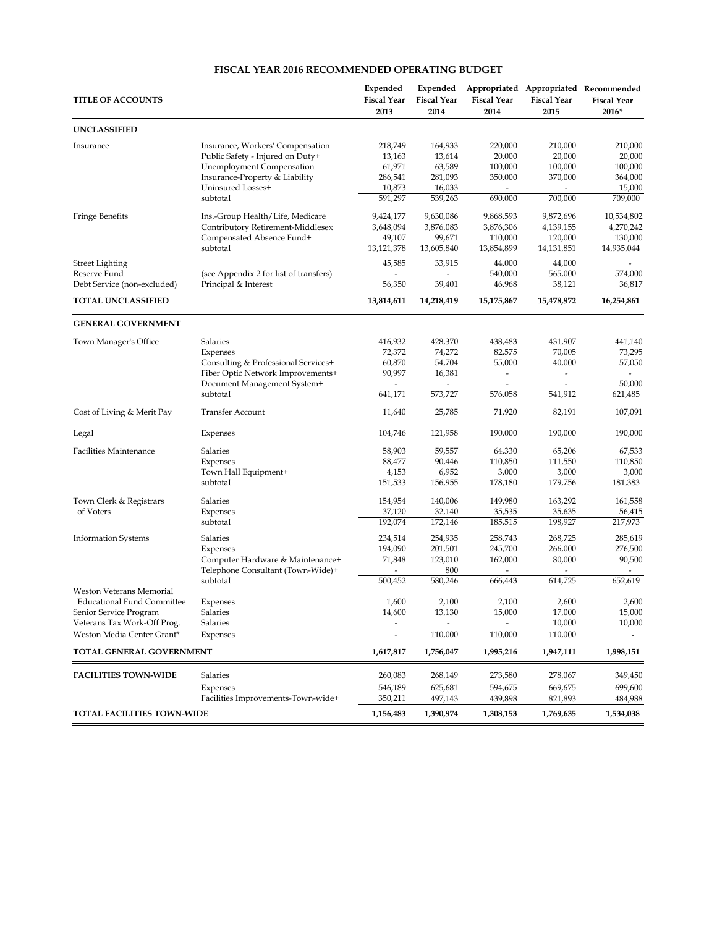#### **FISCAL YEAR 2016 RECOMMENDED OPERATING BUDGET**

| <b>TITLE OF ACCOUNTS</b>          |                                                                      | Expended<br><b>Fiscal Year</b><br>2013 | Expended<br><b>Fiscal Year</b><br>2014 | <b>Fiscal Year</b><br>2014 | <b>Fiscal Year</b><br>2015 | Appropriated Appropriated Recommended<br><b>Fiscal Year</b><br>2016* |
|-----------------------------------|----------------------------------------------------------------------|----------------------------------------|----------------------------------------|----------------------------|----------------------------|----------------------------------------------------------------------|
| <b>UNCLASSIFIED</b>               |                                                                      |                                        |                                        |                            |                            |                                                                      |
| Insurance                         | Insurance, Workers' Compensation<br>Public Safety - Injured on Duty+ | 218,749<br>13,163                      | 164,933<br>13,614                      | 220,000<br>20,000          | 210,000<br>20,000          | 210,000<br>20,000                                                    |
|                                   | <b>Unemployment Compensation</b>                                     | 61,971                                 | 63,589                                 | 100,000                    | 100,000                    | 100,000                                                              |
|                                   | Insurance-Property & Liability                                       | 286,541                                | 281,093                                | 350,000                    | 370,000                    | 364,000                                                              |
|                                   | Uninsured Losses+                                                    | 10,873                                 | 16,033                                 |                            |                            | 15,000                                                               |
|                                   | subtotal                                                             | 591,297                                | 539,263                                | 690,000                    | 700,000                    | 709,000                                                              |
| <b>Fringe Benefits</b>            | Ins.-Group Health/Life, Medicare                                     | 9,424,177                              | 9,630,086                              | 9,868,593                  | 9,872,696                  | 10,534,802                                                           |
|                                   | Contributory Retirement-Middlesex                                    | 3,648,094                              | 3,876,083                              | 3,876,306                  | 4,139,155                  | 4,270,242                                                            |
|                                   | Compensated Absence Fund+                                            | 49,107                                 | 99,671                                 | 110,000                    | 120,000                    | 130,000                                                              |
|                                   | subtotal                                                             | 13,121,378                             | 13,605,840                             | 13,854,899                 | 14,131,851                 | 14,935,044                                                           |
| Street Lighting                   |                                                                      | 45,585                                 | 33,915                                 | 44,000                     | 44,000                     |                                                                      |
| Reserve Fund                      | (see Appendix 2 for list of transfers)                               | L,                                     | $\overline{a}$                         | 540,000                    | 565,000                    | 574,000                                                              |
| Debt Service (non-excluded)       | Principal & Interest                                                 | 56,350                                 | 39,401                                 | 46,968                     | 38,121                     | 36,817                                                               |
| <b>TOTAL UNCLASSIFIED</b>         |                                                                      | 13,814,611                             | 14,218,419                             | 15,175,867                 | 15,478,972                 | 16,254,861                                                           |
| <b>GENERAL GOVERNMENT</b>         |                                                                      |                                        |                                        |                            |                            |                                                                      |
| Town Manager's Office             | Salaries                                                             | 416,932                                | 428,370                                | 438,483                    | 431,907                    | 441,140                                                              |
|                                   | Expenses                                                             | 72,372                                 | 74,272                                 | 82,575                     | 70,005                     | 73,295                                                               |
|                                   | Consulting & Professional Services+                                  | 60,870                                 | 54,704                                 | 55,000                     | 40,000                     | 57,050                                                               |
|                                   | Fiber Optic Network Improvements+                                    | 90,997                                 | 16,381                                 | $\overline{\phantom{a}}$   |                            |                                                                      |
|                                   | Document Management System+                                          |                                        |                                        |                            |                            | 50,000                                                               |
|                                   | subtotal                                                             | 641,171                                | 573,727                                | 576,058                    | 541,912                    | 621,485                                                              |
| Cost of Living & Merit Pay        | <b>Transfer Account</b>                                              | 11,640                                 | 25,785                                 | 71,920                     | 82,191                     | 107,091                                                              |
| Legal                             | Expenses                                                             | 104,746                                | 121,958                                | 190,000                    | 190,000                    | 190,000                                                              |
| <b>Facilities Maintenance</b>     | Salaries                                                             | 58,903                                 | 59,557                                 | 64,330                     | 65,206                     | 67,533                                                               |
|                                   | Expenses                                                             | 88,477                                 | 90,446                                 | 110,850                    | 111,550                    | 110,850                                                              |
|                                   | Town Hall Equipment+                                                 | 4,153                                  | 6,952                                  | 3,000                      | 3,000                      | 3,000                                                                |
|                                   | subtotal                                                             | 151,533                                | 156,955                                | 178,180                    | 179,756                    | 181,383                                                              |
| Town Clerk & Registrars           | Salaries                                                             | 154,954                                | 140,006                                | 149,980                    | 163,292                    | 161,558                                                              |
| of Voters                         | Expenses                                                             | 37,120                                 | 32,140                                 | 35,535                     | 35,635                     | 56,415                                                               |
|                                   | subtotal                                                             | 192,074                                | 172,146                                | 185,515                    | 198,927                    | 217,973                                                              |
| <b>Information Systems</b>        | Salaries                                                             | 234,514                                | 254,935                                | 258,743                    | 268,725                    | 285,619                                                              |
|                                   | Expenses                                                             | 194,090                                | 201,501                                | 245,700                    | 266,000                    | 276,500                                                              |
|                                   | Computer Hardware & Maintenance+                                     | 71,848                                 | 123,010                                | 162,000                    | 80,000                     | 90,500                                                               |
|                                   | Telephone Consultant (Town-Wide)+                                    |                                        | 800                                    |                            |                            |                                                                      |
| Weston Veterans Memorial          | subtotal                                                             | 500,452                                | 580,246                                | 666,443                    | 614,725                    | 652,619                                                              |
| <b>Educational Fund Committee</b> | Expenses                                                             | 1,600                                  | 2,100                                  | 2,100                      | 2,600                      | 2,600                                                                |
| Senior Service Program            | Salaries                                                             | 14,600                                 | 13,130                                 | 15,000                     | 17,000                     | 15,000                                                               |
| Veterans Tax Work-Off Prog.       | Salaries                                                             |                                        |                                        |                            | 10,000                     | 10,000                                                               |
| Weston Media Center Grant*        | Expenses                                                             |                                        | 110,000                                | 110,000                    | 110,000                    |                                                                      |
| TOTAL GENERAL GOVERNMENT          |                                                                      | 1,617,817                              | 1,756,047                              | 1,995,216                  | 1,947,111                  | 1,998,151                                                            |
| <b>FACILITIES TOWN-WIDE</b>       | <b>Salaries</b>                                                      | 260,083                                | 268,149                                | 273,580                    | 278,067                    | 349,450                                                              |
|                                   | Expenses                                                             | 546,189                                | 625,681                                | 594,675                    | 669,675                    | 699,600                                                              |
|                                   | Facilities Improvements-Town-wide+                                   | 350,211                                | 497,143                                | 439,898                    | 821,893                    | 484,988                                                              |
| <b>TOTAL FACILITIES TOWN-WIDE</b> |                                                                      | 1,156,483                              | 1,390,974                              | 1,308,153                  | 1,769,635                  | 1,534,038                                                            |
|                                   |                                                                      |                                        |                                        |                            |                            |                                                                      |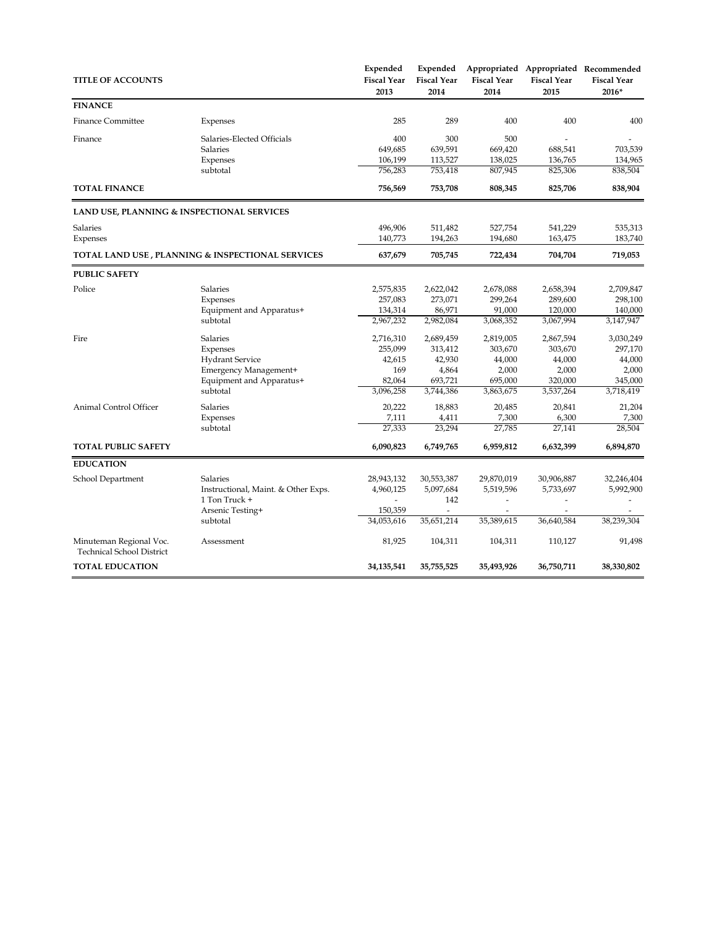| <b>TITLE OF ACCOUNTS</b>                                    |                                                  | Expended<br><b>Fiscal Year</b><br>2013 | Expended<br><b>Fiscal Year</b><br>2014 | <b>Fiscal Year</b><br>2014 | <b>Fiscal Year</b><br>2015 | Appropriated Appropriated Recommended<br><b>Fiscal Year</b><br>2016* |
|-------------------------------------------------------------|--------------------------------------------------|----------------------------------------|----------------------------------------|----------------------------|----------------------------|----------------------------------------------------------------------|
| <b>FINANCE</b>                                              |                                                  |                                        |                                        |                            |                            |                                                                      |
| <b>Finance Committee</b>                                    | Expenses                                         | 285                                    | 289                                    | 400                        | 400                        | 400                                                                  |
| Finance                                                     | Salaries-Elected Officials                       | 400                                    | 300                                    | 500                        |                            |                                                                      |
|                                                             | <b>Salaries</b>                                  | 649,685                                | 639,591                                | 669,420                    | 688,541                    | 703,539                                                              |
|                                                             | Expenses                                         | 106,199                                | 113,527                                | 138,025                    | 136,765                    | 134,965                                                              |
|                                                             | subtotal                                         | 756,283                                | 753,418                                | 807,945                    | 825,306                    | 838,504                                                              |
| <b>TOTAL FINANCE</b>                                        |                                                  | 756,569                                | 753,708                                | 808,345                    | 825,706                    | 838,904                                                              |
| LAND USE, PLANNING & INSPECTIONAL SERVICES                  |                                                  |                                        |                                        |                            |                            |                                                                      |
| Salaries                                                    |                                                  | 496,906                                | 511,482                                | 527,754                    | 541,229                    | 535,313                                                              |
| Expenses                                                    |                                                  | 140,773                                | 194,263                                | 194,680                    | 163,475                    | 183,740                                                              |
|                                                             | TOTAL LAND USE, PLANNING & INSPECTIONAL SERVICES | 637,679                                | 705,745                                | 722,434                    | 704,704                    | 719,053                                                              |
| <b>PUBLIC SAFETY</b>                                        |                                                  |                                        |                                        |                            |                            |                                                                      |
| Police                                                      | Salaries                                         | 2,575,835                              | 2,622,042                              | 2,678,088                  | 2,658,394                  | 2,709,847                                                            |
|                                                             | Expenses                                         | 257,083                                | 273,071                                | 299,264                    | 289,600                    | 298,100                                                              |
|                                                             | Equipment and Apparatus+                         | 134,314                                | 86,971                                 | 91,000                     | 120,000                    | 140,000                                                              |
|                                                             | subtotal                                         | 2,967,232                              | 2,982,084                              | 3,068,352                  | 3,067,994                  | 3,147,947                                                            |
| Fire                                                        | Salaries                                         | 2,716,310                              | 2,689,459                              | 2,819,005                  | 2,867,594                  | 3,030,249                                                            |
|                                                             | Expenses                                         | 255,099                                | 313,412                                | 303,670                    | 303,670                    | 297,170                                                              |
|                                                             | <b>Hydrant Service</b>                           | 42,615                                 | 42,930                                 | 44,000                     | 44,000                     | 44,000                                                               |
|                                                             | Emergency Management+                            | 169                                    | 4,864                                  | 2,000                      | 2,000                      | 2,000                                                                |
|                                                             | Equipment and Apparatus+                         | 82,064                                 | 693,721                                | 695,000                    | 320,000                    | 345,000                                                              |
|                                                             | subtotal                                         | 3,096,258                              | 3,744,386                              | 3,863,675                  | 3,537,264                  | 3,718,419                                                            |
| Animal Control Officer                                      | Salaries                                         | 20,222                                 | 18,883                                 | 20,485                     | 20,841                     | 21,204                                                               |
|                                                             | Expenses                                         | 7,111                                  | 4,411                                  | 7,300                      | 6,300                      | 7,300                                                                |
|                                                             | subtotal                                         | 27,333                                 | 23,294                                 | 27,785                     | 27,141                     | 28,504                                                               |
| <b>TOTAL PUBLIC SAFETY</b>                                  |                                                  | 6,090,823                              | 6,749,765                              | 6,959,812                  | 6,632,399                  | 6,894,870                                                            |
| <b>EDUCATION</b>                                            |                                                  |                                        |                                        |                            |                            |                                                                      |
| School Department                                           | Salaries                                         | 28,943,132                             | 30,553,387                             | 29,870,019                 | 30,906,887                 | 32,246,404                                                           |
|                                                             | Instructional, Maint. & Other Exps.              | 4,960,125                              | 5,097,684                              | 5,519,596                  | 5,733,697                  | 5,992,900                                                            |
|                                                             | 1 Ton Truck +                                    |                                        | 142                                    |                            | L,                         |                                                                      |
|                                                             | Arsenic Testing+                                 | 150,359                                |                                        |                            |                            |                                                                      |
|                                                             | subtotal                                         | 34,053,616                             | 35,651,214                             | 35,389,615                 | 36,640,584                 | 38,239,304                                                           |
| Minuteman Regional Voc.<br><b>Technical School District</b> | Assessment                                       | 81,925                                 | 104,311                                | 104,311                    | 110,127                    | 91,498                                                               |
| <b>TOTAL EDUCATION</b>                                      |                                                  | 34, 135, 541                           | 35,755,525                             | 35,493,926                 | 36,750,711                 | 38,330,802                                                           |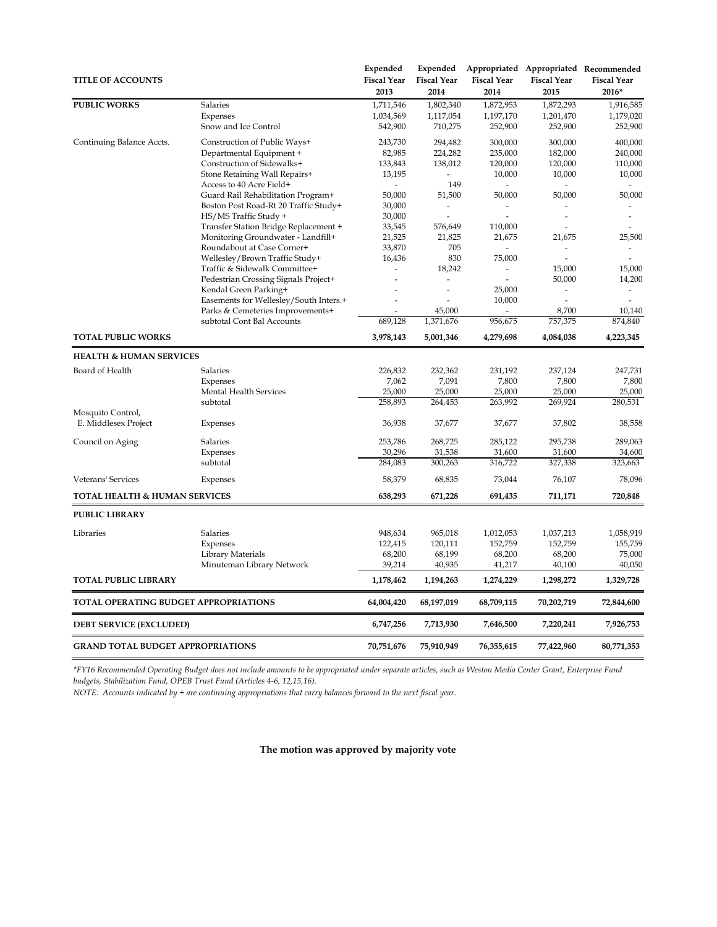|                                          |                                        | Expended                 | Expended           |                    |                    | Appropriated Appropriated Recommended |
|------------------------------------------|----------------------------------------|--------------------------|--------------------|--------------------|--------------------|---------------------------------------|
| <b>TITLE OF ACCOUNTS</b>                 |                                        | <b>Fiscal Year</b>       | <b>Fiscal Year</b> | <b>Fiscal Year</b> | <b>Fiscal Year</b> | <b>Fiscal Year</b>                    |
|                                          |                                        | 2013                     | 2014               | 2014               | 2015               | 2016*                                 |
| <b>PUBLIC WORKS</b>                      | Salaries                               | 1,711,546                | 1,802,340          | 1,872,953          | 1,872,293          | 1,916,585                             |
|                                          | Expenses                               | 1,034,569                | 1,117,054          | 1,197,170          | 1,201,470          | 1,179,020                             |
|                                          | Snow and Ice Control                   | 542,900                  | 710,275            | 252,900            | 252,900            | 252,900                               |
| Continuing Balance Accts.                | Construction of Public Ways+           | 243,730                  | 294,482            | 300,000            | 300,000            | 400,000                               |
|                                          | Departmental Equipment +               | 82,985                   | 224,282            | 235,000            | 182,000            | 240,000                               |
|                                          | Construction of Sidewalks+             | 133,843                  | 138,012            | 120,000            | 120,000            | 110,000                               |
|                                          | Stone Retaining Wall Repairs+          | 13,195                   |                    | 10,000             | 10,000             | 10,000                                |
|                                          | Access to 40 Acre Field+               | $\overline{\phantom{a}}$ | 149                |                    |                    | $\overline{\phantom{a}}$              |
|                                          | Guard Rail Rehabilitation Program+     | 50,000                   | 51,500             | 50,000             | 50,000             | 50,000                                |
|                                          | Boston Post Road-Rt 20 Traffic Study+  | 30,000                   | $\overline{a}$     |                    |                    |                                       |
|                                          | HS/MS Traffic Study +                  | 30,000                   | L,                 | $\overline{a}$     | ÷,                 | $\overline{a}$                        |
|                                          | Transfer Station Bridge Replacement +  | 33,545                   | 576,649            | 110,000            |                    |                                       |
|                                          | Monitoring Groundwater - Landfill+     | 21,525                   | 21,825             | 21,675             | 21,675             | 25,500                                |
|                                          | Roundabout at Case Corner+             | 33,870                   | 705                |                    | ÷                  | $\overline{\phantom{a}}$              |
|                                          | Wellesley/Brown Traffic Study+         | 16,436                   | 830                | 75,000             |                    |                                       |
|                                          | Traffic & Sidewalk Committee+          |                          | 18,242             |                    | 15,000             | 15,000                                |
|                                          | Pedestrian Crossing Signals Project+   |                          |                    | $\overline{a}$     | 50,000             | 14,200                                |
|                                          | Kendal Green Parking+                  |                          |                    | 25,000             | $\blacksquare$     | $\overline{\phantom{a}}$              |
|                                          | Easements for Wellesley/South Inters.+ |                          |                    | 10,000             |                    |                                       |
|                                          | Parks & Cemeteries Improvements+       |                          | 45,000             |                    | 8,700              | 10,140                                |
|                                          | subtotal Cont Bal Accounts             | 689,128                  | 1,371,676          | 956,675            | 757,375            | 874,840                               |
| <b>TOTAL PUBLIC WORKS</b>                |                                        | 3,978,143                | 5,001,346          | 4,279,698          | 4,084,038          | 4,223,345                             |
| <b>HEALTH &amp; HUMAN SERVICES</b>       |                                        |                          |                    |                    |                    |                                       |
|                                          |                                        |                          |                    |                    |                    |                                       |
| Board of Health                          | Salaries                               | 226,832                  | 232,362            | 231,192            | 237,124            | 247,731                               |
|                                          | Expenses                               | 7,062                    | 7,091              | 7,800              | 7,800              | 7,800                                 |
|                                          | Mental Health Services                 | 25,000                   | 25,000             | 25,000             | 25,000             | 25,000                                |
|                                          | subtotal                               | 258,893                  | 264,453            | 263,992            | 269,924            | 280,531                               |
| Mosquito Control,                        |                                        |                          |                    |                    |                    |                                       |
| E. Middlesex Project                     | Expenses                               | 36,938                   | 37,677             | 37,677             | 37,802             | 38,558                                |
| Council on Aging                         | Salaries                               | 253,786                  | 268,725            | 285,122            | 295,738            | 289,063                               |
|                                          | Expenses                               | 30,296                   | 31,538             | 31,600             | 31,600             | 34,600                                |
|                                          | subtotal                               | 284,083                  | 300,263            | 316,722            | 327,338            | 323,663                               |
|                                          |                                        |                          |                    |                    |                    |                                       |
| <b>Veterans' Services</b>                | Expenses                               | 58,379                   | 68,835             | 73,044             | 76,107             | 78,096                                |
| <b>TOTAL HEALTH &amp; HUMAN SERVICES</b> |                                        | 638,293                  | 671,228            | 691,435            | 711,171            | 720,848                               |
| PUBLIC LIBRARY                           |                                        |                          |                    |                    |                    |                                       |
| Libraries                                | Salaries                               | 948,634                  | 965,018            | 1,012,053          | 1,037,213          | 1,058,919                             |
|                                          | Expenses                               | 122,415                  | 120,111            | 152,759            | 152,759            | 155,759                               |
|                                          | Library Materials                      | 68,200                   | 68,199             | 68,200             | 68,200             | 75,000                                |
|                                          | Minuteman Library Network              | 39,214                   | 40,935             | 41,217             | 40,100             | 40,050                                |
| <b>TOTAL PUBLIC LIBRARY</b>              |                                        | 1,178,462                | 1,194,263          | 1,274,229          | 1,298,272          | 1,329,728                             |
| TOTAL OPERATING BUDGET APPROPRIATIONS    |                                        | 64,004,420               | 68,197,019         | 68,709,115         | 70,202,719         | 72,844,600                            |
|                                          |                                        |                          |                    |                    |                    |                                       |
| <b>DEBT SERVICE (EXCLUDED)</b>           |                                        | 6,747,256                | 7,713,930          | 7,646,500          | 7,220,241          | 7,926,753                             |
| <b>GRAND TOTAL BUDGET APPROPRIATIONS</b> |                                        | 70,751,676               | 75,910,949         | 76,355,615         | 77,422,960         | 80,771,353                            |

*\*FY16 Recommended Operating Budget does not include amounts to be appropriated under separate articles, such as Weston Media Center Grant, Enterprise Fund budgets, Stabilization Fund, OPEB Trust Fund (Articles 4-6, 12,15,16).*

*NOTE: Accounts indicated by + are continuing appropriations that carry balances forward to the next fiscal year.*

**The motion was approved by majority vote**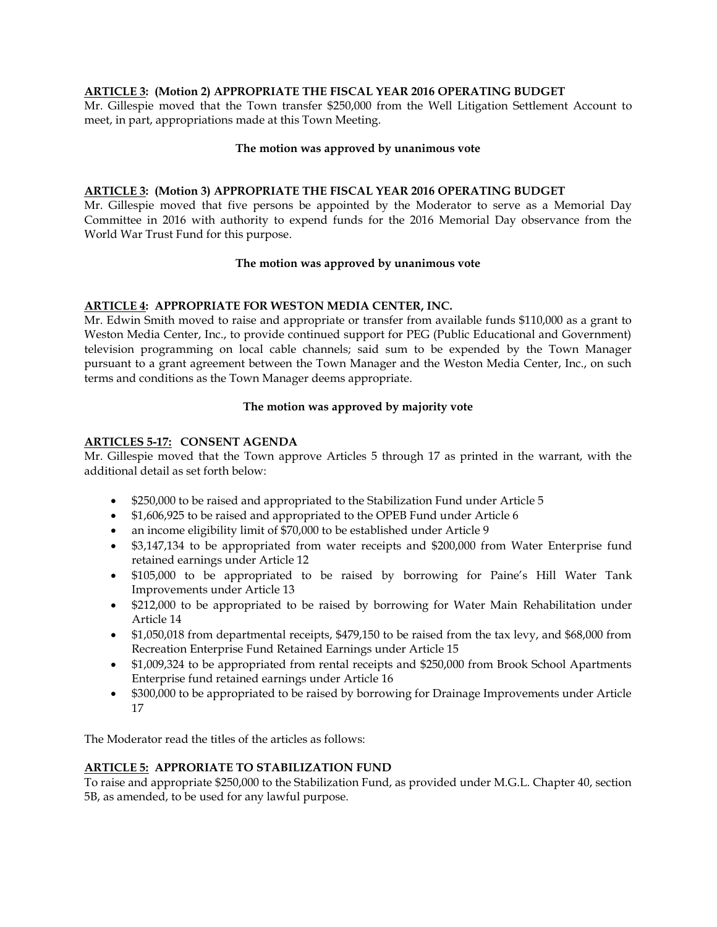### **ARTICLE 3: (Motion 2) APPROPRIATE THE FISCAL YEAR 2016 OPERATING BUDGET**

Mr. Gillespie moved that the Town transfer \$250,000 from the Well Litigation Settlement Account to meet, in part, appropriations made at this Town Meeting.

### **The motion was approved by unanimous vote**

### **ARTICLE 3: (Motion 3) APPROPRIATE THE FISCAL YEAR 2016 OPERATING BUDGET**

Mr. Gillespie moved that five persons be appointed by the Moderator to serve as a Memorial Day Committee in 2016 with authority to expend funds for the 2016 Memorial Day observance from the World War Trust Fund for this purpose.

### **The motion was approved by unanimous vote**

### **ARTICLE 4: APPROPRIATE FOR WESTON MEDIA CENTER, INC.**

Mr. Edwin Smith moved to raise and appropriate or transfer from available funds \$110,000 as a grant to Weston Media Center, Inc., to provide continued support for PEG (Public Educational and Government) television programming on local cable channels; said sum to be expended by the Town Manager pursuant to a grant agreement between the Town Manager and the Weston Media Center, Inc., on such terms and conditions as the Town Manager deems appropriate.

### **The motion was approved by majority vote**

### **ARTICLES 5-17: CONSENT AGENDA**

Mr. Gillespie moved that the Town approve Articles 5 through 17 as printed in the warrant, with the additional detail as set forth below:

- \$250,000 to be raised and appropriated to the Stabilization Fund under Article 5
- \$1,606,925 to be raised and appropriated to the OPEB Fund under Article 6
- an income eligibility limit of \$70,000 to be established under Article 9
- \$3,147,134 to be appropriated from water receipts and \$200,000 from Water Enterprise fund retained earnings under Article 12
- \$105,000 to be appropriated to be raised by borrowing for Paine's Hill Water Tank Improvements under Article 13
- \$212,000 to be appropriated to be raised by borrowing for Water Main Rehabilitation under Article 14
- \$1,050,018 from departmental receipts, \$479,150 to be raised from the tax levy, and \$68,000 from Recreation Enterprise Fund Retained Earnings under Article 15
- \$1,009,324 to be appropriated from rental receipts and \$250,000 from Brook School Apartments Enterprise fund retained earnings under Article 16
- \$300,000 to be appropriated to be raised by borrowing for Drainage Improvements under Article 17

The Moderator read the titles of the articles as follows:

### **ARTICLE 5: APPRORIATE TO STABILIZATION FUND**

To raise and appropriate \$250,000 to the Stabilization Fund, as provided under M.G.L. Chapter 40, section 5B, as amended, to be used for any lawful purpose.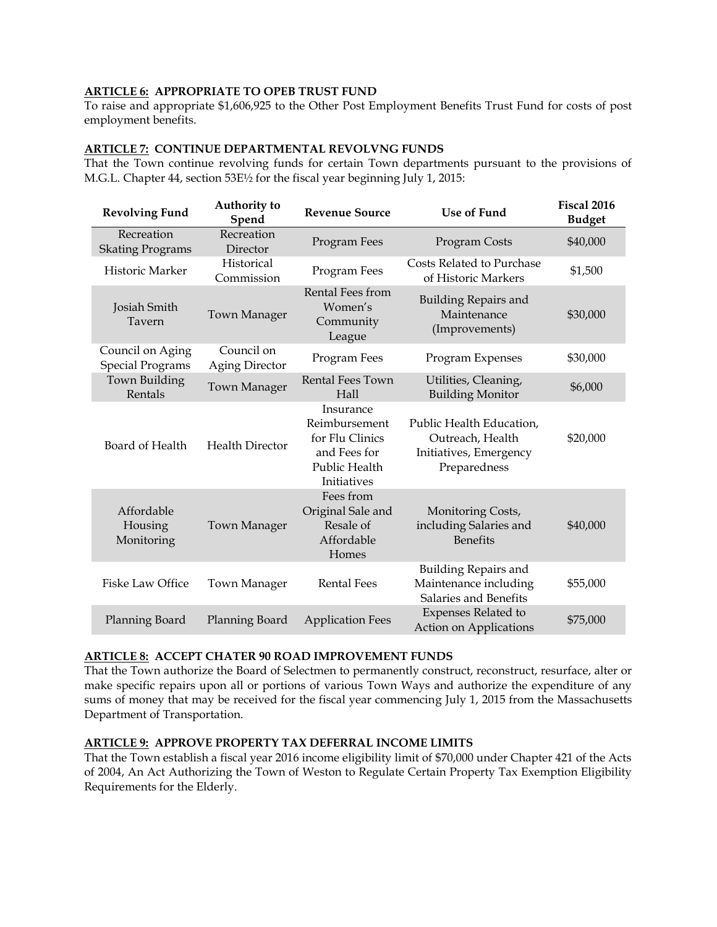# **ARTICLE 6: APPROPRIATE TO OPEB TRUST FUND**

To raise and appropriate \$1,606,925 to the Other Post Employment Benefits Trust Fund for costs of post employment benefits.

### **ARTICLE 7: CONTINUE DEPARTMENTAL REVOLVNG FUNDS**

That the Town continue revolving funds for certain Town departments pursuant to the provisions of M.G.L. Chapter 44, section 53E½ for the fiscal year beginning July 1, 2015:

| <b>Revolving Fund</b>                       | Authority to<br>Spend               | <b>Revenue Source</b>                                                                         | <b>Use of Fund</b>                                                                     | <b>Fiscal 2016</b><br><b>Budget</b> |
|---------------------------------------------|-------------------------------------|-----------------------------------------------------------------------------------------------|----------------------------------------------------------------------------------------|-------------------------------------|
| Recreation<br><b>Skating Programs</b>       | Recreation<br>Director              | Program Fees                                                                                  | Program Costs                                                                          | \$40,000                            |
| Historic Marker                             | Historical<br>Commission            | Program Fees                                                                                  | Costs Related to Purchase<br>of Historic Markers                                       | \$1,500                             |
| Josiah Smith<br>Tavern                      | <b>Town Manager</b>                 | Rental Fees from<br>Women's<br>Community<br>League                                            | <b>Building Repairs and</b><br>Maintenance<br>(Improvements)                           | \$30,000                            |
| Council on Aging<br><b>Special Programs</b> | Council on<br><b>Aging Director</b> | Program Fees                                                                                  | Program Expenses                                                                       | \$30,000                            |
| Town Building<br>Rentals                    | Town Manager                        | Rental Fees Town<br>Hall                                                                      | Utilities, Cleaning,<br><b>Building Monitor</b>                                        | \$6,000                             |
| Board of Health                             | <b>Health Director</b>              | Insurance<br>Reimbursement<br>for Flu Clinics<br>and Fees for<br>Public Health<br>Initiatives | Public Health Education,<br>Outreach, Health<br>Initiatives, Emergency<br>Preparedness | \$20,000                            |
| Affordable<br>Housing<br>Monitoring         | <b>Town Manager</b>                 | Fees from<br>Original Sale and<br>Resale of<br>Affordable<br>Homes                            | Monitoring Costs,<br>including Salaries and<br><b>Benefits</b>                         | \$40,000                            |
| <b>Fiske Law Office</b>                     | <b>Town Manager</b>                 | <b>Rental Fees</b>                                                                            | <b>Building Repairs and</b><br>Maintenance including<br>Salaries and Benefits          | \$55,000                            |
| Planning Board                              | Planning Board                      | <b>Application Fees</b>                                                                       | Expenses Related to<br>Action on Applications                                          | \$75,000                            |

# **ARTICLE 8: ACCEPT CHATER 90 ROAD IMPROVEMENT FUNDS**

That the Town authorize the Board of Selectmen to permanently construct, reconstruct, resurface, alter or make specific repairs upon all or portions of various Town Ways and authorize the expenditure of any sums of money that may be received for the fiscal year commencing July 1, 2015 from the Massachusetts Department of Transportation.

# **ARTICLE 9: APPROVE PROPERTY TAX DEFERRAL INCOME LIMITS**

That the Town establish a fiscal year 2016 income eligibility limit of \$70,000 under Chapter 421 of the Acts of 2004, An Act Authorizing the Town of Weston to Regulate Certain Property Tax Exemption Eligibility Requirements for the Elderly.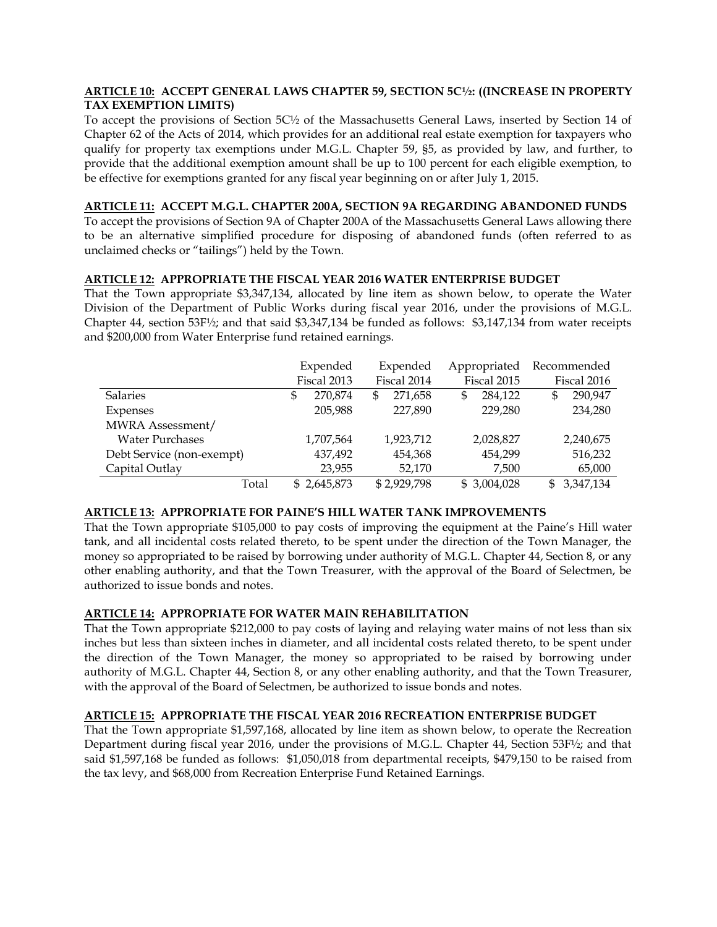### **ARTICLE 10: ACCEPT GENERAL LAWS CHAPTER 59, SECTION 5C½: ((INCREASE IN PROPERTY TAX EXEMPTION LIMITS)**

To accept the provisions of Section 5C½ of the Massachusetts General Laws, inserted by Section 14 of Chapter 62 of the Acts of 2014, which provides for an additional real estate exemption for taxpayers who qualify for property tax exemptions under M.G.L. Chapter 59, §5, as provided by law, and further, to provide that the additional exemption amount shall be up to 100 percent for each eligible exemption, to be effective for exemptions granted for any fiscal year beginning on or after July 1, 2015.

# **ARTICLE 11: ACCEPT M.G.L. CHAPTER 200A, SECTION 9A REGARDING ABANDONED FUNDS**

To accept the provisions of Section 9A of Chapter 200A of the Massachusetts General Laws allowing there to be an alternative simplified procedure for disposing of abandoned funds (often referred to as unclaimed checks or "tailings") held by the Town.

### **ARTICLE 12: APPROPRIATE THE FISCAL YEAR 2016 WATER ENTERPRISE BUDGET**

That the Town appropriate \$3,347,134, allocated by line item as shown below, to operate the Water Division of the Department of Public Works during fiscal year 2016, under the provisions of M.G.L. Chapter 44, section 53F½; and that said \$3,347,134 be funded as follows: \$3,147,134 from water receipts and \$200,000 from Water Enterprise fund retained earnings.

|                           | Expended      | Expended      | Appropriated  | Recommended     |
|---------------------------|---------------|---------------|---------------|-----------------|
|                           | Fiscal 2013   | Fiscal 2014   | Fiscal 2015   | Fiscal 2016     |
| <b>Salaries</b>           | 270.874<br>\$ | 271.658<br>\$ | 284.122<br>\$ | 290,947<br>\$   |
| Expenses                  | 205,988       | 227,890       | 229,280       | 234,280         |
| MWRA Assessment/          |               |               |               |                 |
| <b>Water Purchases</b>    | 1,707,564     | 1,923,712     | 2,028,827     | 2,240,675       |
| Debt Service (non-exempt) | 437,492       | 454,368       | 454,299       | 516,232         |
| Capital Outlay            | 23,955        | 52,170        | 7,500         | 65,000          |
| Total                     | \$2,645,873   | \$2,929,798   | \$3,004,028   | 3,347,134<br>\$ |

# **ARTICLE 13: APPROPRIATE FOR PAINE'S HILL WATER TANK IMPROVEMENTS**

That the Town appropriate \$105,000 to pay costs of improving the equipment at the Paine's Hill water tank, and all incidental costs related thereto, to be spent under the direction of the Town Manager, the money so appropriated to be raised by borrowing under authority of M.G.L. Chapter 44, Section 8, or any other enabling authority, and that the Town Treasurer, with the approval of the Board of Selectmen, be authorized to issue bonds and notes.

# **ARTICLE 14: APPROPRIATE FOR WATER MAIN REHABILITATION**

That the Town appropriate \$212,000 to pay costs of laying and relaying water mains of not less than six inches but less than sixteen inches in diameter, and all incidental costs related thereto, to be spent under the direction of the Town Manager, the money so appropriated to be raised by borrowing under authority of M.G.L. Chapter 44, Section 8, or any other enabling authority, and that the Town Treasurer, with the approval of the Board of Selectmen, be authorized to issue bonds and notes.

# **ARTICLE 15: APPROPRIATE THE FISCAL YEAR 2016 RECREATION ENTERPRISE BUDGET**

That the Town appropriate \$1,597,168, allocated by line item as shown below, to operate the Recreation Department during fiscal year 2016, under the provisions of M.G.L. Chapter 44, Section 53F½; and that said \$1,597,168 be funded as follows: \$1,050,018 from departmental receipts, \$479,150 to be raised from the tax levy, and \$68,000 from Recreation Enterprise Fund Retained Earnings.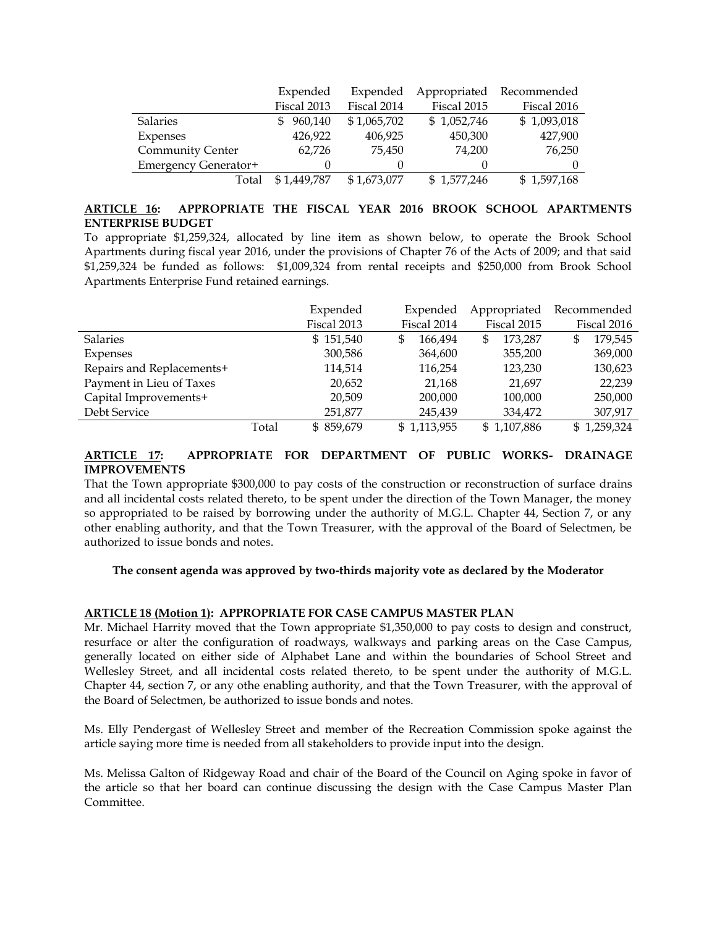|                         | Expended       | Expended    | Appropriated | Recommended |
|-------------------------|----------------|-------------|--------------|-------------|
|                         | Fiscal 2013    | Fiscal 2014 | Fiscal 2015  | Fiscal 2016 |
| <b>Salaries</b>         | 960,140<br>SS. | \$1,065,702 | \$1,052,746  | \$1,093,018 |
| Expenses                | 426,922        | 406,925     | 450,300      | 427,900     |
| <b>Community Center</b> | 62,726         | 75,450      | 74,200       | 76,250      |
| Emergency Generator+    | $\theta$       |             |              | $\theta$    |
| Total                   | \$1,449,787    | \$1,673,077 | \$1,577,246  | \$1,597,168 |

# **ARTICLE 16: APPROPRIATE THE FISCAL YEAR 2016 BROOK SCHOOL APARTMENTS ENTERPRISE BUDGET**

To appropriate \$1,259,324, allocated by line item as shown below, to operate the Brook School Apartments during fiscal year 2016, under the provisions of Chapter 76 of the Acts of 2009; and that said \$1,259,324 be funded as follows: \$1,009,324 from rental receipts and \$250,000 from Brook School Apartments Enterprise Fund retained earnings.

|                           |       | Expended    | Expended    | Appropriated  | Recommended   |
|---------------------------|-------|-------------|-------------|---------------|---------------|
|                           |       | Fiscal 2013 | Fiscal 2014 | Fiscal 2015   | Fiscal 2016   |
| <b>Salaries</b>           |       | \$151,540   | 166.494     | \$<br>173.287 | 179,545<br>\$ |
| Expenses                  |       | 300,586     | 364,600     | 355,200       | 369,000       |
| Repairs and Replacements+ |       | 114,514     | 116,254     | 123,230       | 130,623       |
| Payment in Lieu of Taxes  |       | 20,652      | 21,168      | 21,697        | 22,239        |
| Capital Improvements+     |       | 20,509      | 200,000     | 100,000       | 250,000       |
| Debt Service              |       | 251,877     | 245.439     | 334,472       | 307,917       |
|                           | Total | \$859,679   | \$1,113,955 | \$1,107,886   | \$1,259,324   |

# **ARTICLE 17: APPROPRIATE FOR DEPARTMENT OF PUBLIC WORKS- DRAINAGE IMPROVEMENTS**

That the Town appropriate \$300,000 to pay costs of the construction or reconstruction of surface drains and all incidental costs related thereto, to be spent under the direction of the Town Manager, the money so appropriated to be raised by borrowing under the authority of M.G.L. Chapter 44, Section 7, or any other enabling authority, and that the Town Treasurer, with the approval of the Board of Selectmen, be authorized to issue bonds and notes.

### **The consent agenda was approved by two-thirds majority vote as declared by the Moderator**

# **ARTICLE 18 (Motion 1): APPROPRIATE FOR CASE CAMPUS MASTER PLAN**

Mr. Michael Harrity moved that the Town appropriate \$1,350,000 to pay costs to design and construct, resurface or alter the configuration of roadways, walkways and parking areas on the Case Campus, generally located on either side of Alphabet Lane and within the boundaries of School Street and Wellesley Street, and all incidental costs related thereto, to be spent under the authority of M.G.L. Chapter 44, section 7, or any othe enabling authority, and that the Town Treasurer, with the approval of the Board of Selectmen, be authorized to issue bonds and notes.

Ms. Elly Pendergast of Wellesley Street and member of the Recreation Commission spoke against the article saying more time is needed from all stakeholders to provide input into the design.

Ms. Melissa Galton of Ridgeway Road and chair of the Board of the Council on Aging spoke in favor of the article so that her board can continue discussing the design with the Case Campus Master Plan Committee.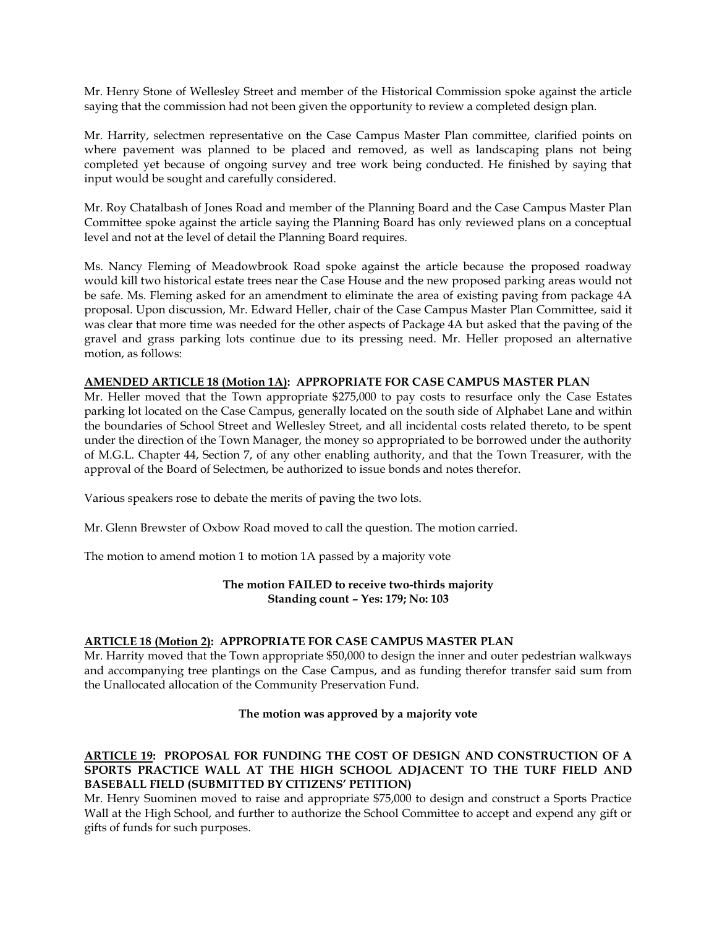Mr. Henry Stone of Wellesley Street and member of the Historical Commission spoke against the article saying that the commission had not been given the opportunity to review a completed design plan.

Mr. Harrity, selectmen representative on the Case Campus Master Plan committee, clarified points on where pavement was planned to be placed and removed, as well as landscaping plans not being completed yet because of ongoing survey and tree work being conducted. He finished by saying that input would be sought and carefully considered.

Mr. Roy Chatalbash of Jones Road and member of the Planning Board and the Case Campus Master Plan Committee spoke against the article saying the Planning Board has only reviewed plans on a conceptual level and not at the level of detail the Planning Board requires.

Ms. Nancy Fleming of Meadowbrook Road spoke against the article because the proposed roadway would kill two historical estate trees near the Case House and the new proposed parking areas would not be safe. Ms. Fleming asked for an amendment to eliminate the area of existing paving from package 4A proposal. Upon discussion, Mr. Edward Heller, chair of the Case Campus Master Plan Committee, said it was clear that more time was needed for the other aspects of Package 4A but asked that the paving of the gravel and grass parking lots continue due to its pressing need. Mr. Heller proposed an alternative motion, as follows:

### **AMENDED ARTICLE 18 (Motion 1A): APPROPRIATE FOR CASE CAMPUS MASTER PLAN**

Mr. Heller moved that the Town appropriate \$275,000 to pay costs to resurface only the Case Estates parking lot located on the Case Campus, generally located on the south side of Alphabet Lane and within the boundaries of School Street and Wellesley Street, and all incidental costs related thereto, to be spent under the direction of the Town Manager, the money so appropriated to be borrowed under the authority of M.G.L. Chapter 44, Section 7, of any other enabling authority, and that the Town Treasurer, with the approval of the Board of Selectmen, be authorized to issue bonds and notes therefor.

Various speakers rose to debate the merits of paving the two lots.

Mr. Glenn Brewster of Oxbow Road moved to call the question. The motion carried.

The motion to amend motion 1 to motion 1A passed by a majority vote

### **The motion FAILED to receive two-thirds majority Standing count – Yes: 179; No: 103**

### **ARTICLE 18 (Motion 2): APPROPRIATE FOR CASE CAMPUS MASTER PLAN**

Mr. Harrity moved that the Town appropriate \$50,000 to design the inner and outer pedestrian walkways and accompanying tree plantings on the Case Campus, and as funding therefor transfer said sum from the Unallocated allocation of the Community Preservation Fund.

### **The motion was approved by a majority vote**

### **ARTICLE 19: PROPOSAL FOR FUNDING THE COST OF DESIGN AND CONSTRUCTION OF A SPORTS PRACTICE WALL AT THE HIGH SCHOOL ADJACENT TO THE TURF FIELD AND BASEBALL FIELD (SUBMITTED BY CITIZENS' PETITION)**

Mr. Henry Suominen moved to raise and appropriate \$75,000 to design and construct a Sports Practice Wall at the High School, and further to authorize the School Committee to accept and expend any gift or gifts of funds for such purposes.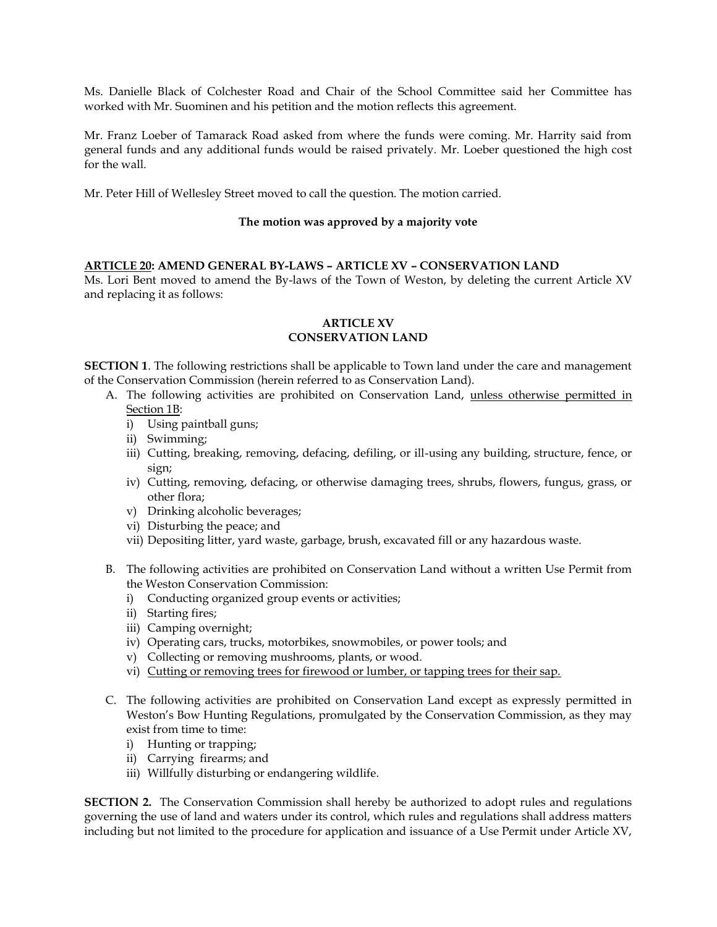Ms. Danielle Black of Colchester Road and Chair of the School Committee said her Committee has worked with Mr. Suominen and his petition and the motion reflects this agreement.

Mr. Franz Loeber of Tamarack Road asked from where the funds were coming. Mr. Harrity said from general funds and any additional funds would be raised privately. Mr. Loeber questioned the high cost for the wall.

Mr. Peter Hill of Wellesley Street moved to call the question. The motion carried.

### **The motion was approved by a majority vote**

### **ARTICLE 20: AMEND GENERAL BY-LAWS – ARTICLE XV – CONSERVATION LAND**

Ms. Lori Bent moved to amend the By-laws of the Town of Weston, by deleting the current Article XV and replacing it as follows:

### **ARTICLE XV CONSERVATION LAND**

**SECTION 1**. The following restrictions shall be applicable to Town land under the care and management of the Conservation Commission (herein referred to as Conservation Land).

- A. The following activities are prohibited on Conservation Land, unless otherwise permitted in Section 1B:
	- i) Using paintball guns;
	- ii) Swimming;
	- iii) Cutting, breaking, removing, defacing, defiling, or ill-using any building, structure, fence, or sign;
	- iv) Cutting, removing, defacing, or otherwise damaging trees, shrubs, flowers, fungus, grass, or other flora;
	- v) Drinking alcoholic beverages;
	- vi) Disturbing the peace; and
	- vii) Depositing litter, yard waste, garbage, brush, excavated fill or any hazardous waste.
- B. The following activities are prohibited on Conservation Land without a written Use Permit from the Weston Conservation Commission:
	- i) Conducting organized group events or activities;
	- ii) Starting fires;
	- iii) Camping overnight;
	- iv) Operating cars, trucks, motorbikes, snowmobiles, or power tools; and
	- v) Collecting or removing mushrooms, plants, or wood.
	- vi) Cutting or removing trees for firewood or lumber, or tapping trees for their sap.
- C. The following activities are prohibited on Conservation Land except as expressly permitted in Weston's Bow Hunting Regulations, promulgated by the Conservation Commission, as they may exist from time to time:
	- i) Hunting or trapping;
	- ii) Carrying firearms; and
	- iii) Willfully disturbing or endangering wildlife.

**SECTION 2.** The Conservation Commission shall hereby be authorized to adopt rules and regulations governing the use of land and waters under its control, which rules and regulations shall address matters including but not limited to the procedure for application and issuance of a Use Permit under Article XV,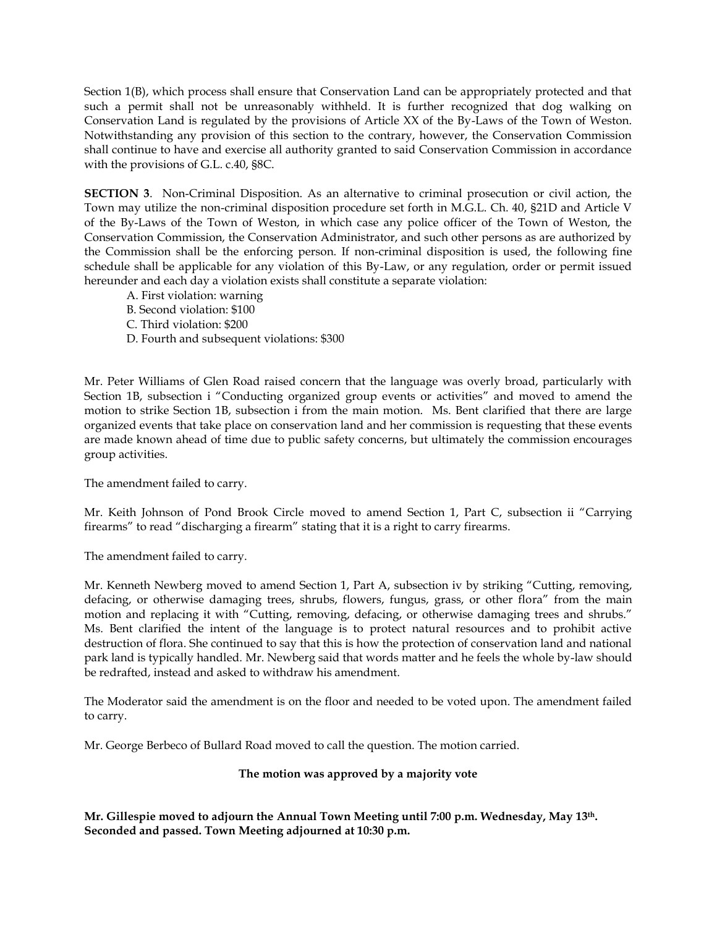Section 1(B), which process shall ensure that Conservation Land can be appropriately protected and that such a permit shall not be unreasonably withheld. It is further recognized that dog walking on Conservation Land is regulated by the provisions of Article XX of the By-Laws of the Town of Weston. Notwithstanding any provision of this section to the contrary, however, the Conservation Commission shall continue to have and exercise all authority granted to said Conservation Commission in accordance with the provisions of G.L. c.40, §8C.

**SECTION 3**. Non-Criminal Disposition. As an alternative to criminal prosecution or civil action, the Town may utilize the non-criminal disposition procedure set forth in M.G.L. Ch. 40, §21D and Article V of the By-Laws of the Town of Weston, in which case any police officer of the Town of Weston, the Conservation Commission, the Conservation Administrator, and such other persons as are authorized by the Commission shall be the enforcing person. If non-criminal disposition is used, the following fine schedule shall be applicable for any violation of this By-Law, or any regulation, order or permit issued hereunder and each day a violation exists shall constitute a separate violation:

- A. First violation: warning
- B. Second violation: \$100
- C. Third violation: \$200
- D. Fourth and subsequent violations: \$300

Mr. Peter Williams of Glen Road raised concern that the language was overly broad, particularly with Section 1B, subsection i "Conducting organized group events or activities" and moved to amend the motion to strike Section 1B, subsection i from the main motion. Ms. Bent clarified that there are large organized events that take place on conservation land and her commission is requesting that these events are made known ahead of time due to public safety concerns, but ultimately the commission encourages group activities.

The amendment failed to carry.

Mr. Keith Johnson of Pond Brook Circle moved to amend Section 1, Part C, subsection ii "Carrying firearms" to read "discharging a firearm" stating that it is a right to carry firearms.

The amendment failed to carry.

Mr. Kenneth Newberg moved to amend Section 1, Part A, subsection iv by striking "Cutting, removing, defacing, or otherwise damaging trees, shrubs, flowers, fungus, grass, or other flora" from the main motion and replacing it with "Cutting, removing, defacing, or otherwise damaging trees and shrubs." Ms. Bent clarified the intent of the language is to protect natural resources and to prohibit active destruction of flora. She continued to say that this is how the protection of conservation land and national park land is typically handled. Mr. Newberg said that words matter and he feels the whole by-law should be redrafted, instead and asked to withdraw his amendment.

The Moderator said the amendment is on the floor and needed to be voted upon. The amendment failed to carry.

Mr. George Berbeco of Bullard Road moved to call the question. The motion carried.

### **The motion was approved by a majority vote**

**Mr. Gillespie moved to adjourn the Annual Town Meeting until 7:00 p.m. Wednesday, May 13th. Seconded and passed. Town Meeting adjourned at 10:30 p.m.**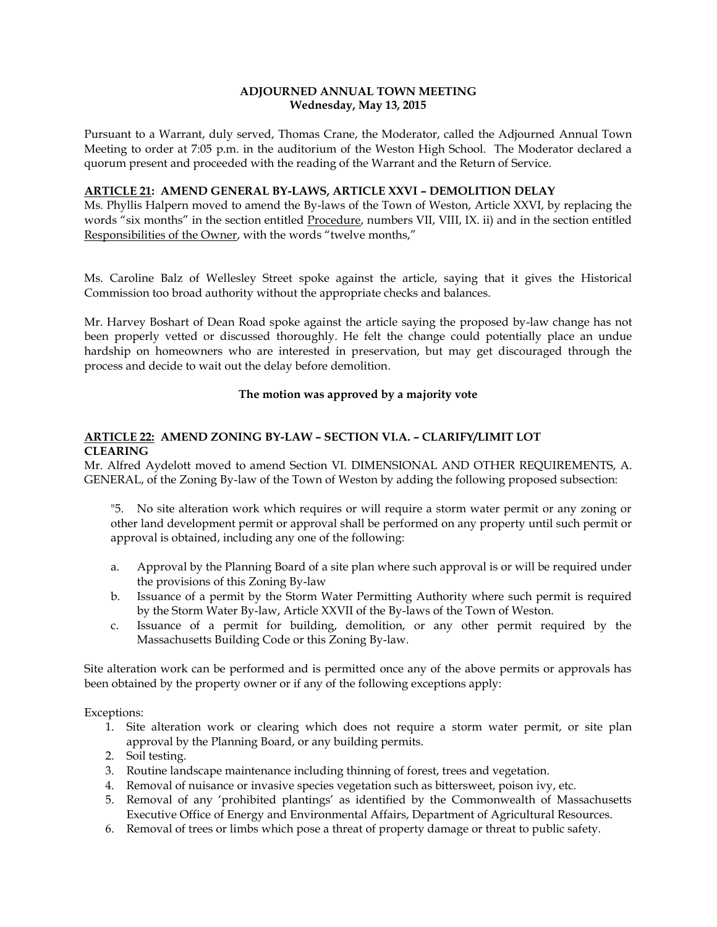### **ADJOURNED ANNUAL TOWN MEETING Wednesday, May 13, 2015**

Pursuant to a Warrant, duly served, Thomas Crane, the Moderator, called the Adjourned Annual Town Meeting to order at 7:05 p.m. in the auditorium of the Weston High School. The Moderator declared a quorum present and proceeded with the reading of the Warrant and the Return of Service.

### **ARTICLE 21: AMEND GENERAL BY-LAWS, ARTICLE XXVI – DEMOLITION DELAY**

Ms. Phyllis Halpern moved to amend the By-laws of the Town of Weston, Article XXVI, by replacing the words "six months" in the section entitled Procedure, numbers VII, VIII, IX. ii) and in the section entitled Responsibilities of the Owner, with the words "twelve months,"

Ms. Caroline Balz of Wellesley Street spoke against the article, saying that it gives the Historical Commission too broad authority without the appropriate checks and balances.

Mr. Harvey Boshart of Dean Road spoke against the article saying the proposed by-law change has not been properly vetted or discussed thoroughly. He felt the change could potentially place an undue hardship on homeowners who are interested in preservation, but may get discouraged through the process and decide to wait out the delay before demolition.

### **The motion was approved by a majority vote**

# **ARTICLE 22: AMEND ZONING BY-LAW – SECTION VI.A. – CLARIFY/LIMIT LOT CLEARING**

Mr. Alfred Aydelott moved to amend Section VI. DIMENSIONAL AND OTHER REQUIREMENTS, A. GENERAL, of the Zoning By-law of the Town of Weston by adding the following proposed subsection:

"5. No site alteration work which requires or will require a storm water permit or any zoning or other land development permit or approval shall be performed on any property until such permit or approval is obtained, including any one of the following:

- a. Approval by the Planning Board of a site plan where such approval is or will be required under the provisions of this Zoning By-law
- b. Issuance of a permit by the Storm Water Permitting Authority where such permit is required by the Storm Water By-law, Article XXVII of the By-laws of the Town of Weston.
- c. Issuance of a permit for building, demolition, or any other permit required by the Massachusetts Building Code or this Zoning By-law.

Site alteration work can be performed and is permitted once any of the above permits or approvals has been obtained by the property owner or if any of the following exceptions apply:

Exceptions:

- 1. Site alteration work or clearing which does not require a storm water permit, or site plan approval by the Planning Board, or any building permits.
- 2. Soil testing.
- 3. Routine landscape maintenance including thinning of forest, trees and vegetation.
- 4. Removal of nuisance or invasive species vegetation such as bittersweet, poison ivy, etc.
- 5. Removal of any 'prohibited plantings' as identified by the Commonwealth of Massachusetts Executive Office of Energy and Environmental Affairs, Department of Agricultural Resources.
- 6. Removal of trees or limbs which pose a threat of property damage or threat to public safety.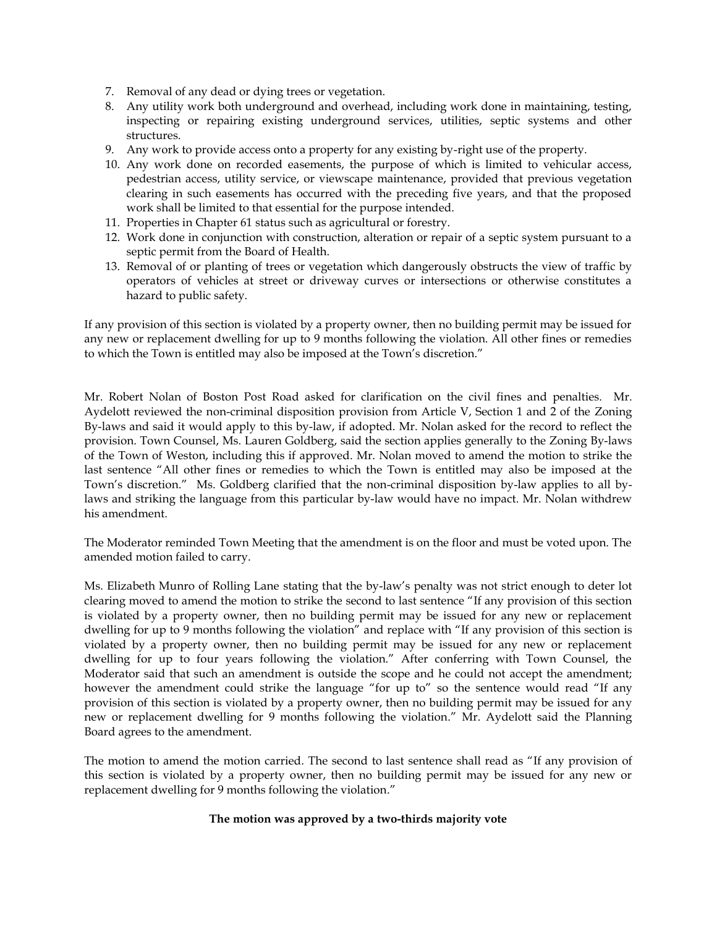- 7. Removal of any dead or dying trees or vegetation.
- 8. Any utility work both underground and overhead, including work done in maintaining, testing, inspecting or repairing existing underground services, utilities, septic systems and other structures.
- 9. Any work to provide access onto a property for any existing by-right use of the property.
- 10. Any work done on recorded easements, the purpose of which is limited to vehicular access, pedestrian access, utility service, or viewscape maintenance, provided that previous vegetation clearing in such easements has occurred with the preceding five years, and that the proposed work shall be limited to that essential for the purpose intended.
- 11. Properties in Chapter 61 status such as agricultural or forestry.
- 12. Work done in conjunction with construction, alteration or repair of a septic system pursuant to a septic permit from the Board of Health.
- 13. Removal of or planting of trees or vegetation which dangerously obstructs the view of traffic by operators of vehicles at street or driveway curves or intersections or otherwise constitutes a hazard to public safety.

If any provision of this section is violated by a property owner, then no building permit may be issued for any new or replacement dwelling for up to 9 months following the violation. All other fines or remedies to which the Town is entitled may also be imposed at the Town's discretion."

Mr. Robert Nolan of Boston Post Road asked for clarification on the civil fines and penalties. Mr. Aydelott reviewed the non-criminal disposition provision from Article V, Section 1 and 2 of the Zoning By-laws and said it would apply to this by-law, if adopted. Mr. Nolan asked for the record to reflect the provision. Town Counsel, Ms. Lauren Goldberg, said the section applies generally to the Zoning By-laws of the Town of Weston, including this if approved. Mr. Nolan moved to amend the motion to strike the last sentence "All other fines or remedies to which the Town is entitled may also be imposed at the Town's discretion." Ms. Goldberg clarified that the non-criminal disposition by-law applies to all bylaws and striking the language from this particular by-law would have no impact. Mr. Nolan withdrew his amendment.

The Moderator reminded Town Meeting that the amendment is on the floor and must be voted upon. The amended motion failed to carry.

Ms. Elizabeth Munro of Rolling Lane stating that the by-law's penalty was not strict enough to deter lot clearing moved to amend the motion to strike the second to last sentence "If any provision of this section is violated by a property owner, then no building permit may be issued for any new or replacement dwelling for up to 9 months following the violation" and replace with "If any provision of this section is violated by a property owner, then no building permit may be issued for any new or replacement dwelling for up to four years following the violation." After conferring with Town Counsel, the Moderator said that such an amendment is outside the scope and he could not accept the amendment; however the amendment could strike the language "for up to" so the sentence would read "If any provision of this section is violated by a property owner, then no building permit may be issued for any new or replacement dwelling for 9 months following the violation." Mr. Aydelott said the Planning Board agrees to the amendment.

The motion to amend the motion carried. The second to last sentence shall read as "If any provision of this section is violated by a property owner, then no building permit may be issued for any new or replacement dwelling for 9 months following the violation."

### **The motion was approved by a two-thirds majority vote**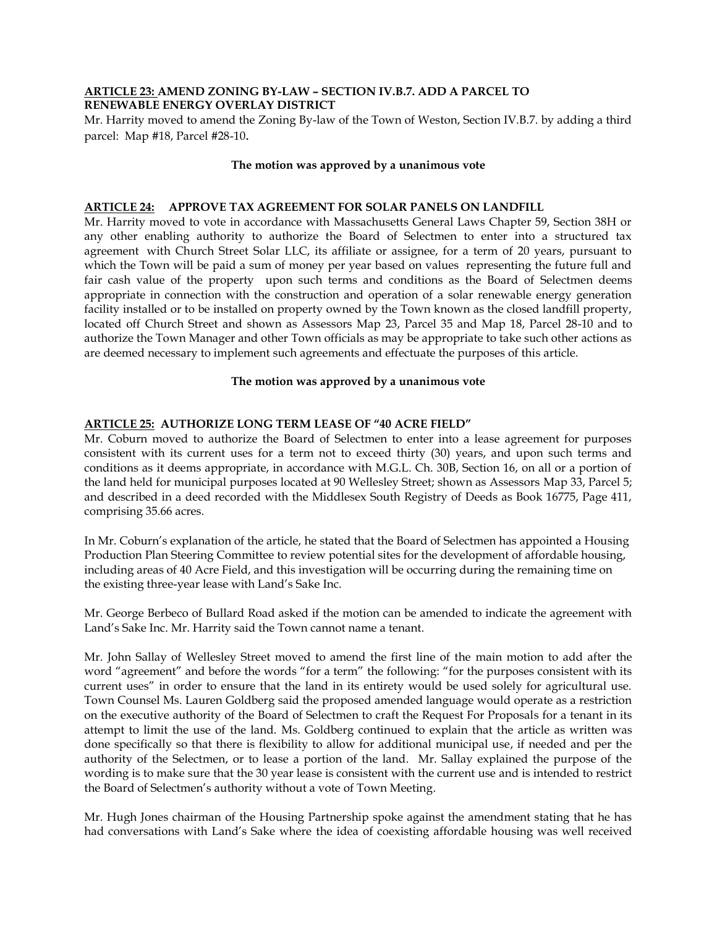### **ARTICLE 23: AMEND ZONING BY-LAW – SECTION IV.B.7. ADD A PARCEL TO RENEWABLE ENERGY OVERLAY DISTRICT**

Mr. Harrity moved to amend the Zoning By-law of the Town of Weston, Section IV.B.7. by adding a third parcel: Map #18, Parcel #28-10.

### **The motion was approved by a unanimous vote**

### **ARTICLE 24: APPROVE TAX AGREEMENT FOR SOLAR PANELS ON LANDFILL**

Mr. Harrity moved to vote in accordance with Massachusetts General Laws Chapter 59, Section 38H or any other enabling authority to authorize the Board of Selectmen to enter into a structured tax agreement with Church Street Solar LLC, its affiliate or assignee, for a term of 20 years, pursuant to which the Town will be paid a sum of money per year based on values representing the future full and fair cash value of the property upon such terms and conditions as the Board of Selectmen deems appropriate in connection with the construction and operation of a solar renewable energy generation facility installed or to be installed on property owned by the Town known as the closed landfill property, located off Church Street and shown as Assessors Map 23, Parcel 35 and Map 18, Parcel 28-10 and to authorize the Town Manager and other Town officials as may be appropriate to take such other actions as are deemed necessary to implement such agreements and effectuate the purposes of this article.

#### **The motion was approved by a unanimous vote**

# **ARTICLE 25: AUTHORIZE LONG TERM LEASE OF "40 ACRE FIELD"**

Mr. Coburn moved to authorize the Board of Selectmen to enter into a lease agreement for purposes consistent with its current uses for a term not to exceed thirty (30) years, and upon such terms and conditions as it deems appropriate, in accordance with M.G.L. Ch. 30B, Section 16, on all or a portion of the land held for municipal purposes located at 90 Wellesley Street; shown as Assessors Map 33, Parcel 5; and described in a deed recorded with the Middlesex South Registry of Deeds as Book 16775, Page 411, comprising 35.66 acres.

In Mr. Coburn's explanation of the article, he stated that the Board of Selectmen has appointed a Housing Production Plan Steering Committee to review potential sites for the development of affordable housing, including areas of 40 Acre Field, and this investigation will be occurring during the remaining time on the existing three-year lease with Land's Sake Inc.

Mr. George Berbeco of Bullard Road asked if the motion can be amended to indicate the agreement with Land's Sake Inc. Mr. Harrity said the Town cannot name a tenant.

Mr. John Sallay of Wellesley Street moved to amend the first line of the main motion to add after the word "agreement" and before the words "for a term" the following: "for the purposes consistent with its current uses" in order to ensure that the land in its entirety would be used solely for agricultural use. Town Counsel Ms. Lauren Goldberg said the proposed amended language would operate as a restriction on the executive authority of the Board of Selectmen to craft the Request For Proposals for a tenant in its attempt to limit the use of the land. Ms. Goldberg continued to explain that the article as written was done specifically so that there is flexibility to allow for additional municipal use, if needed and per the authority of the Selectmen, or to lease a portion of the land. Mr. Sallay explained the purpose of the wording is to make sure that the 30 year lease is consistent with the current use and is intended to restrict the Board of Selectmen's authority without a vote of Town Meeting.

Mr. Hugh Jones chairman of the Housing Partnership spoke against the amendment stating that he has had conversations with Land's Sake where the idea of coexisting affordable housing was well received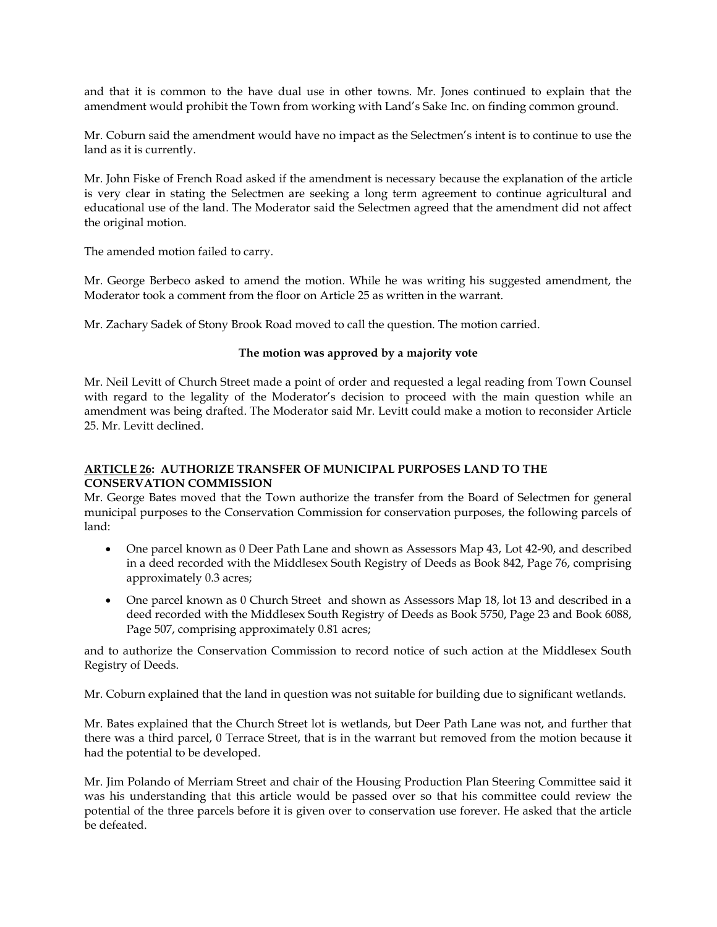and that it is common to the have dual use in other towns. Mr. Jones continued to explain that the amendment would prohibit the Town from working with Land's Sake Inc. on finding common ground.

Mr. Coburn said the amendment would have no impact as the Selectmen's intent is to continue to use the land as it is currently.

Mr. John Fiske of French Road asked if the amendment is necessary because the explanation of the article is very clear in stating the Selectmen are seeking a long term agreement to continue agricultural and educational use of the land. The Moderator said the Selectmen agreed that the amendment did not affect the original motion.

The amended motion failed to carry.

Mr. George Berbeco asked to amend the motion. While he was writing his suggested amendment, the Moderator took a comment from the floor on Article 25 as written in the warrant.

Mr. Zachary Sadek of Stony Brook Road moved to call the question. The motion carried.

### **The motion was approved by a majority vote**

Mr. Neil Levitt of Church Street made a point of order and requested a legal reading from Town Counsel with regard to the legality of the Moderator's decision to proceed with the main question while an amendment was being drafted. The Moderator said Mr. Levitt could make a motion to reconsider Article 25. Mr. Levitt declined.

# **ARTICLE 26: AUTHORIZE TRANSFER OF MUNICIPAL PURPOSES LAND TO THE CONSERVATION COMMISSION**

Mr. George Bates moved that the Town authorize the transfer from the Board of Selectmen for general municipal purposes to the Conservation Commission for conservation purposes, the following parcels of land:

- One parcel known as 0 Deer Path Lane and shown as Assessors Map 43, Lot 42-90, and described in a deed recorded with the Middlesex South Registry of Deeds as Book 842, Page 76, comprising approximately 0.3 acres;
- One parcel known as 0 Church Street and shown as Assessors Map 18, lot 13 and described in a deed recorded with the Middlesex South Registry of Deeds as Book 5750, Page 23 and Book 6088, Page 507, comprising approximately 0.81 acres;

and to authorize the Conservation Commission to record notice of such action at the Middlesex South Registry of Deeds.

Mr. Coburn explained that the land in question was not suitable for building due to significant wetlands.

Mr. Bates explained that the Church Street lot is wetlands, but Deer Path Lane was not, and further that there was a third parcel, 0 Terrace Street, that is in the warrant but removed from the motion because it had the potential to be developed.

Mr. Jim Polando of Merriam Street and chair of the Housing Production Plan Steering Committee said it was his understanding that this article would be passed over so that his committee could review the potential of the three parcels before it is given over to conservation use forever. He asked that the article be defeated.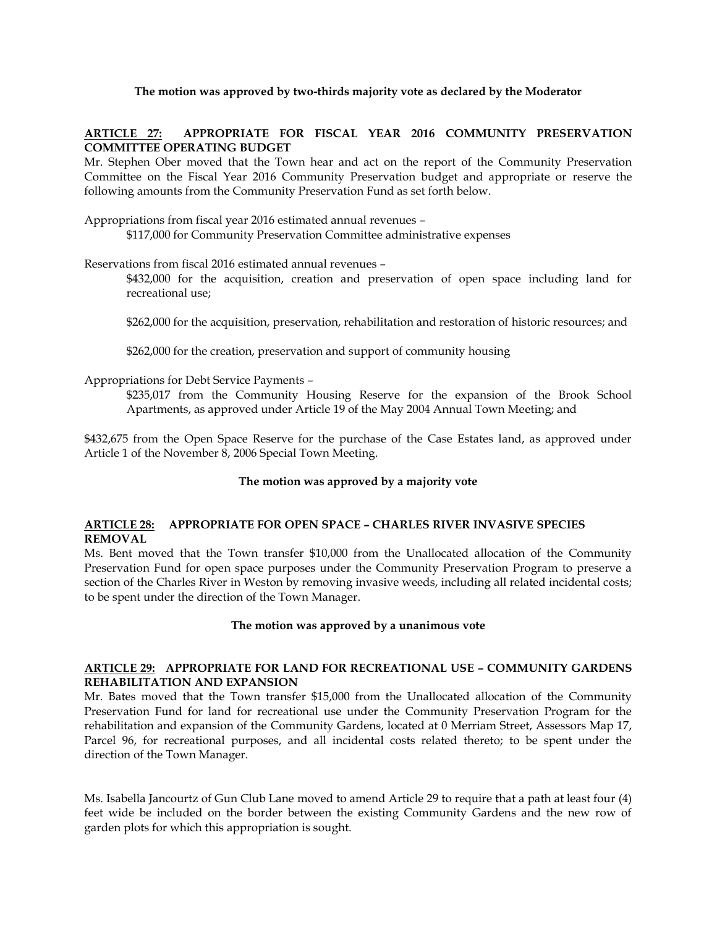## **The motion was approved by two-thirds majority vote as declared by the Moderator**

### **ARTICLE 27: APPROPRIATE FOR FISCAL YEAR 2016 COMMUNITY PRESERVATION COMMITTEE OPERATING BUDGET**

Mr. Stephen Ober moved that the Town hear and act on the report of the Community Preservation Committee on the Fiscal Year 2016 Community Preservation budget and appropriate or reserve the following amounts from the Community Preservation Fund as set forth below.

Appropriations from fiscal year 2016 estimated annual revenues – \$117,000 for Community Preservation Committee administrative expenses

Reservations from fiscal 2016 estimated annual revenues –

\$432,000 for the acquisition, creation and preservation of open space including land for recreational use;

\$262,000 for the acquisition, preservation, rehabilitation and restoration of historic resources; and

\$262,000 for the creation, preservation and support of community housing

#### Appropriations for Debt Service Payments –

\$235,017 from the Community Housing Reserve for the expansion of the Brook School Apartments, as approved under Article 19 of the May 2004 Annual Town Meeting; and

\$432,675 from the Open Space Reserve for the purchase of the Case Estates land, as approved under Article 1 of the November 8, 2006 Special Town Meeting.

#### **The motion was approved by a majority vote**

### **ARTICLE 28: APPROPRIATE FOR OPEN SPACE – CHARLES RIVER INVASIVE SPECIES REMOVAL**

Ms. Bent moved that the Town transfer \$10,000 from the Unallocated allocation of the Community Preservation Fund for open space purposes under the Community Preservation Program to preserve a section of the Charles River in Weston by removing invasive weeds, including all related incidental costs; to be spent under the direction of the Town Manager.

#### **The motion was approved by a unanimous vote**

### **ARTICLE 29: APPROPRIATE FOR LAND FOR RECREATIONAL USE – COMMUNITY GARDENS REHABILITATION AND EXPANSION**

Mr. Bates moved that the Town transfer \$15,000 from the Unallocated allocation of the Community Preservation Fund for land for recreational use under the Community Preservation Program for the rehabilitation and expansion of the Community Gardens, located at 0 Merriam Street, Assessors Map 17, Parcel 96, for recreational purposes, and all incidental costs related thereto; to be spent under the direction of the Town Manager.

Ms. Isabella Jancourtz of Gun Club Lane moved to amend Article 29 to require that a path at least four (4) feet wide be included on the border between the existing Community Gardens and the new row of garden plots for which this appropriation is sought.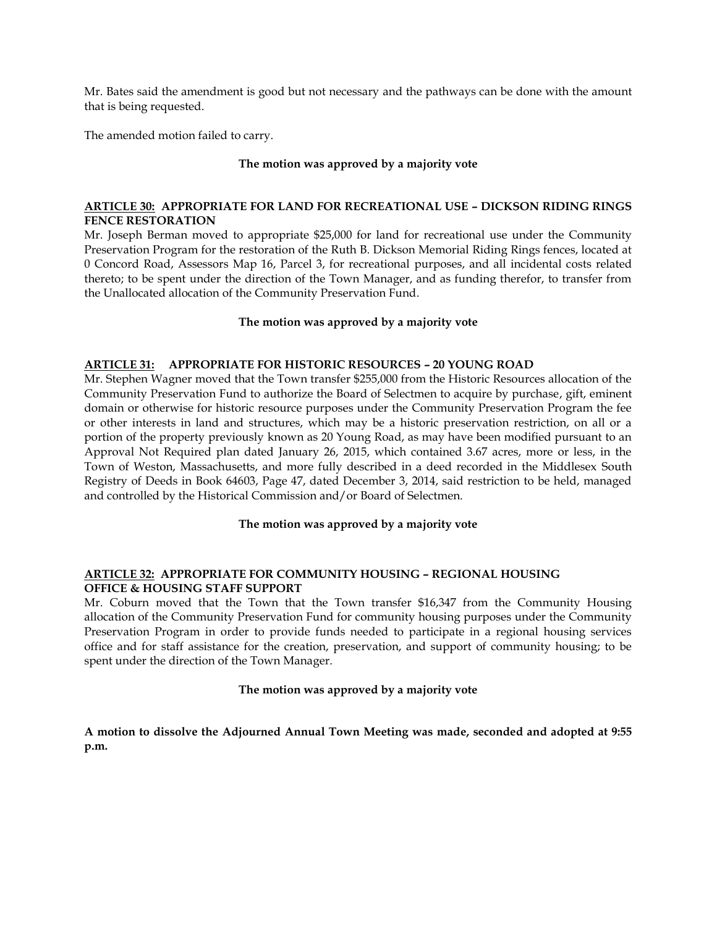Mr. Bates said the amendment is good but not necessary and the pathways can be done with the amount that is being requested.

The amended motion failed to carry.

### **The motion was approved by a majority vote**

#### **ARTICLE 30: APPROPRIATE FOR LAND FOR RECREATIONAL USE – DICKSON RIDING RINGS FENCE RESTORATION**

Mr. Joseph Berman moved to appropriate \$25,000 for land for recreational use under the Community Preservation Program for the restoration of the Ruth B. Dickson Memorial Riding Rings fences, located at 0 Concord Road, Assessors Map 16, Parcel 3, for recreational purposes, and all incidental costs related thereto; to be spent under the direction of the Town Manager, and as funding therefor, to transfer from the Unallocated allocation of the Community Preservation Fund.

### **The motion was approved by a majority vote**

### **ARTICLE 31: APPROPRIATE FOR HISTORIC RESOURCES – 20 YOUNG ROAD**

Mr. Stephen Wagner moved that the Town transfer \$255,000 from the Historic Resources allocation of the Community Preservation Fund to authorize the Board of Selectmen to acquire by purchase, gift, eminent domain or otherwise for historic resource purposes under the Community Preservation Program the fee or other interests in land and structures, which may be a historic preservation restriction, on all or a portion of the property previously known as 20 Young Road, as may have been modified pursuant to an Approval Not Required plan dated January 26, 2015, which contained 3.67 acres, more or less, in the Town of Weston, Massachusetts, and more fully described in a deed recorded in the Middlesex South Registry of Deeds in Book 64603, Page 47, dated December 3, 2014, said restriction to be held, managed and controlled by the Historical Commission and/or Board of Selectmen.

### **The motion was approved by a majority vote**

### **ARTICLE 32: APPROPRIATE FOR COMMUNITY HOUSING – REGIONAL HOUSING OFFICE & HOUSING STAFF SUPPORT**

Mr. Coburn moved that the Town that the Town transfer \$16,347 from the Community Housing allocation of the Community Preservation Fund for community housing purposes under the Community Preservation Program in order to provide funds needed to participate in a regional housing services office and for staff assistance for the creation, preservation, and support of community housing; to be spent under the direction of the Town Manager.

#### **The motion was approved by a majority vote**

**A motion to dissolve the Adjourned Annual Town Meeting was made, seconded and adopted at 9:55 p.m.**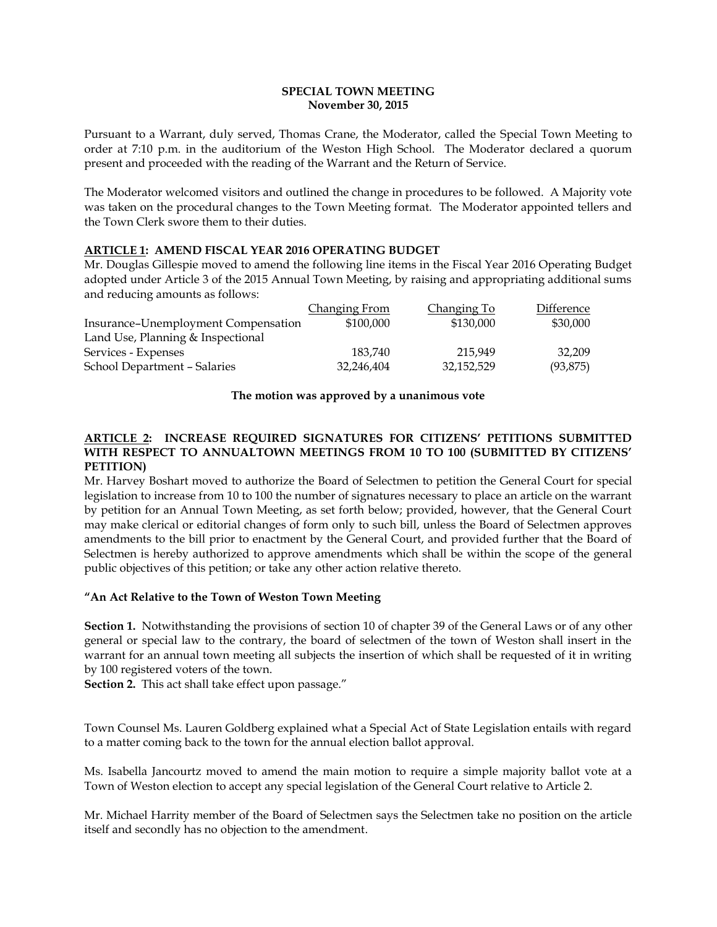### **SPECIAL TOWN MEETING November 30, 2015**

Pursuant to a Warrant, duly served, Thomas Crane, the Moderator, called the Special Town Meeting to order at 7:10 p.m. in the auditorium of the Weston High School. The Moderator declared a quorum present and proceeded with the reading of the Warrant and the Return of Service.

The Moderator welcomed visitors and outlined the change in procedures to be followed. A Majority vote was taken on the procedural changes to the Town Meeting format. The Moderator appointed tellers and the Town Clerk swore them to their duties.

### **ARTICLE 1: AMEND FISCAL YEAR 2016 OPERATING BUDGET**

Mr. Douglas Gillespie moved to amend the following line items in the Fiscal Year 2016 Operating Budget adopted under Article 3 of the 2015 Annual Town Meeting, by raising and appropriating additional sums and reducing amounts as follows:

|                                     | Changing From | Changing To | Difference |
|-------------------------------------|---------------|-------------|------------|
| Insurance-Unemployment Compensation | \$100,000     | \$130,000   | \$30,000   |
| Land Use, Planning & Inspectional   |               |             |            |
| Services - Expenses                 | 183.740       | 215.949     | 32,209     |
| School Department - Salaries        | 32,246,404    | 32,152,529  | (93, 875)  |

### **The motion was approved by a unanimous vote**

# **ARTICLE 2: INCREASE REQUIRED SIGNATURES FOR CITIZENS' PETITIONS SUBMITTED WITH RESPECT TO ANNUALTOWN MEETINGS FROM 10 TO 100 (SUBMITTED BY CITIZENS' PETITION)**

Mr. Harvey Boshart moved to authorize the Board of Selectmen to petition the General Court for special legislation to increase from 10 to 100 the number of signatures necessary to place an article on the warrant by petition for an Annual Town Meeting, as set forth below; provided, however, that the General Court may make clerical or editorial changes of form only to such bill, unless the Board of Selectmen approves amendments to the bill prior to enactment by the General Court, and provided further that the Board of Selectmen is hereby authorized to approve amendments which shall be within the scope of the general public objectives of this petition; or take any other action relative thereto.

### **"An Act Relative to the Town of Weston Town Meeting**

**Section 1.** Notwithstanding the provisions of section 10 of chapter 39 of the General Laws or of any other general or special law to the contrary, the board of selectmen of the town of Weston shall insert in the warrant for an annual town meeting all subjects the insertion of which shall be requested of it in writing by 100 registered voters of the town.

**Section 2.** This act shall take effect upon passage."

Town Counsel Ms. Lauren Goldberg explained what a Special Act of State Legislation entails with regard to a matter coming back to the town for the annual election ballot approval.

Ms. Isabella Jancourtz moved to amend the main motion to require a simple majority ballot vote at a Town of Weston election to accept any special legislation of the General Court relative to Article 2.

Mr. Michael Harrity member of the Board of Selectmen says the Selectmen take no position on the article itself and secondly has no objection to the amendment.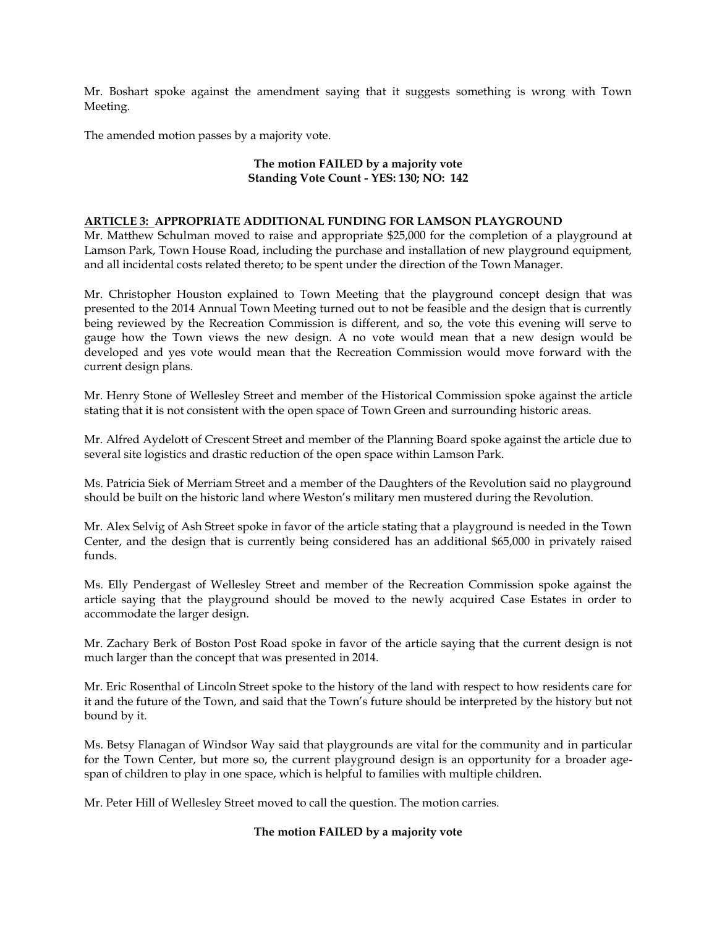Mr. Boshart spoke against the amendment saying that it suggests something is wrong with Town Meeting.

The amended motion passes by a majority vote.

### **The motion FAILED by a majority vote Standing Vote Count - YES: 130; NO: 142**

#### **ARTICLE 3: APPROPRIATE ADDITIONAL FUNDING FOR LAMSON PLAYGROUND**

Mr. Matthew Schulman moved to raise and appropriate \$25,000 for the completion of a playground at Lamson Park, Town House Road, including the purchase and installation of new playground equipment, and all incidental costs related thereto; to be spent under the direction of the Town Manager.

Mr. Christopher Houston explained to Town Meeting that the playground concept design that was presented to the 2014 Annual Town Meeting turned out to not be feasible and the design that is currently being reviewed by the Recreation Commission is different, and so, the vote this evening will serve to gauge how the Town views the new design. A no vote would mean that a new design would be developed and yes vote would mean that the Recreation Commission would move forward with the current design plans.

Mr. Henry Stone of Wellesley Street and member of the Historical Commission spoke against the article stating that it is not consistent with the open space of Town Green and surrounding historic areas.

Mr. Alfred Aydelott of Crescent Street and member of the Planning Board spoke against the article due to several site logistics and drastic reduction of the open space within Lamson Park.

Ms. Patricia Siek of Merriam Street and a member of the Daughters of the Revolution said no playground should be built on the historic land where Weston's military men mustered during the Revolution.

Mr. Alex Selvig of Ash Street spoke in favor of the article stating that a playground is needed in the Town Center, and the design that is currently being considered has an additional \$65,000 in privately raised funds.

Ms. Elly Pendergast of Wellesley Street and member of the Recreation Commission spoke against the article saying that the playground should be moved to the newly acquired Case Estates in order to accommodate the larger design.

Mr. Zachary Berk of Boston Post Road spoke in favor of the article saying that the current design is not much larger than the concept that was presented in 2014.

Mr. Eric Rosenthal of Lincoln Street spoke to the history of the land with respect to how residents care for it and the future of the Town, and said that the Town's future should be interpreted by the history but not bound by it.

Ms. Betsy Flanagan of Windsor Way said that playgrounds are vital for the community and in particular for the Town Center, but more so, the current playground design is an opportunity for a broader agespan of children to play in one space, which is helpful to families with multiple children.

Mr. Peter Hill of Wellesley Street moved to call the question. The motion carries.

### **The motion FAILED by a majority vote**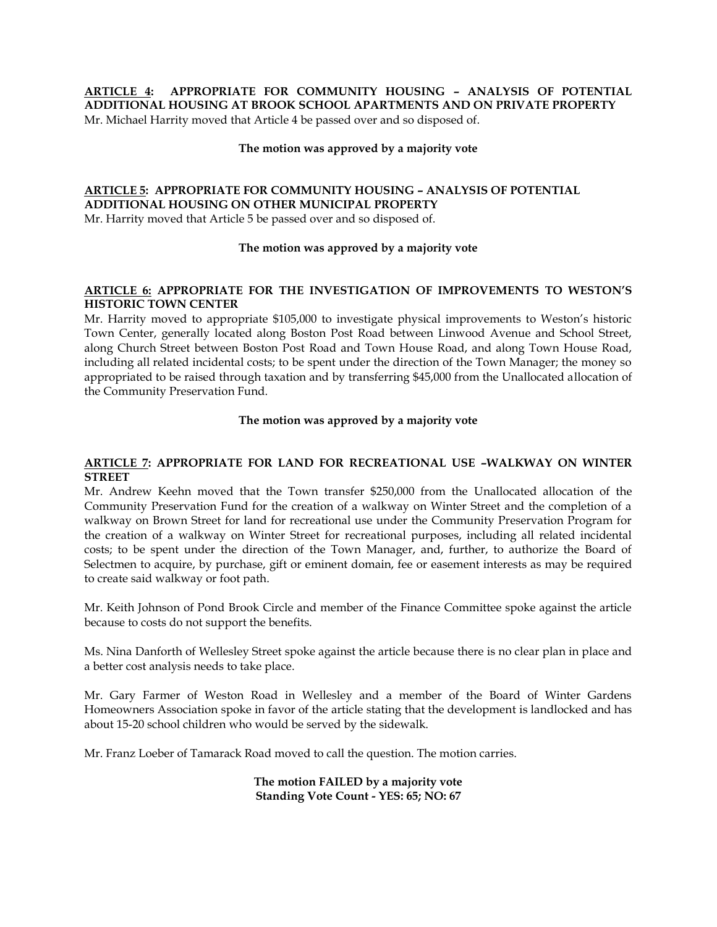**ARTICLE 4: APPROPRIATE FOR COMMUNITY HOUSING – ANALYSIS OF POTENTIAL ADDITIONAL HOUSING AT BROOK SCHOOL APARTMENTS AND ON PRIVATE PROPERTY** Mr. Michael Harrity moved that Article 4 be passed over and so disposed of.

#### **The motion was approved by a majority vote**

# **ARTICLE 5: APPROPRIATE FOR COMMUNITY HOUSING – ANALYSIS OF POTENTIAL ADDITIONAL HOUSING ON OTHER MUNICIPAL PROPERTY**

Mr. Harrity moved that Article 5 be passed over and so disposed of.

### **The motion was approved by a majority vote**

# **ARTICLE 6: APPROPRIATE FOR THE INVESTIGATION OF IMPROVEMENTS TO WESTON'S HISTORIC TOWN CENTER**

Mr. Harrity moved to appropriate \$105,000 to investigate physical improvements to Weston's historic Town Center, generally located along Boston Post Road between Linwood Avenue and School Street, along Church Street between Boston Post Road and Town House Road, and along Town House Road, including all related incidental costs; to be spent under the direction of the Town Manager; the money so appropriated to be raised through taxation and by transferring \$45,000 from the Unallocated allocation of the Community Preservation Fund.

### **The motion was approved by a majority vote**

### **ARTICLE 7: APPROPRIATE FOR LAND FOR RECREATIONAL USE –WALKWAY ON WINTER STREET**

Mr. Andrew Keehn moved that the Town transfer \$250,000 from the Unallocated allocation of the Community Preservation Fund for the creation of a walkway on Winter Street and the completion of a walkway on Brown Street for land for recreational use under the Community Preservation Program for the creation of a walkway on Winter Street for recreational purposes, including all related incidental costs; to be spent under the direction of the Town Manager, and, further, to authorize the Board of Selectmen to acquire, by purchase, gift or eminent domain, fee or easement interests as may be required to create said walkway or foot path.

Mr. Keith Johnson of Pond Brook Circle and member of the Finance Committee spoke against the article because to costs do not support the benefits.

Ms. Nina Danforth of Wellesley Street spoke against the article because there is no clear plan in place and a better cost analysis needs to take place.

Mr. Gary Farmer of Weston Road in Wellesley and a member of the Board of Winter Gardens Homeowners Association spoke in favor of the article stating that the development is landlocked and has about 15-20 school children who would be served by the sidewalk.

Mr. Franz Loeber of Tamarack Road moved to call the question. The motion carries.

**The motion FAILED by a majority vote Standing Vote Count - YES: 65; NO: 67**